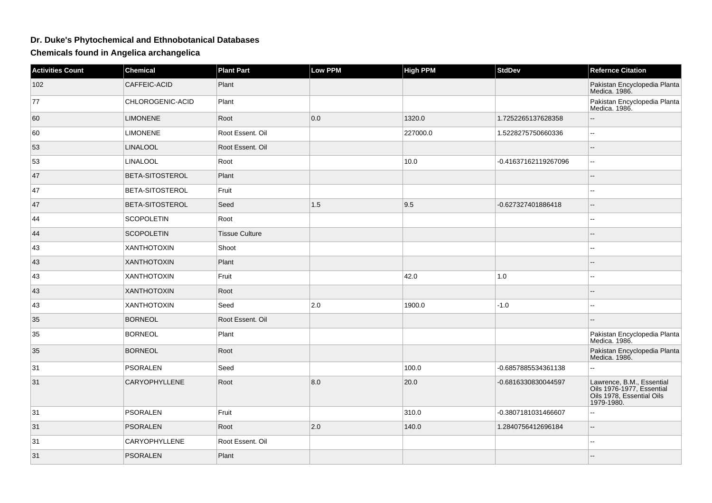## **Dr. Duke's Phytochemical and Ethnobotanical Databases**

**Chemicals found in Angelica archangelica**

| <b>Activities Count</b> | <b>Chemical</b>        | <b>Plant Part</b>     | <b>Low PPM</b> | <b>High PPM</b> | <b>StdDev</b>        | <b>Refernce Citation</b>                                                                          |
|-------------------------|------------------------|-----------------------|----------------|-----------------|----------------------|---------------------------------------------------------------------------------------------------|
| 102                     | CAFFEIC-ACID           | Plant                 |                |                 |                      | Pakistan Encyclopedia Planta<br>Medica. 1986.                                                     |
| 77                      | CHLOROGENIC-ACID       | Plant                 |                |                 |                      | Pakistan Encyclopedia Planta<br>Medica. 1986.                                                     |
| 60                      | <b>LIMONENE</b>        | Root                  | 0.0            | 1320.0          | 1.7252265137628358   | $\overline{\phantom{a}}$                                                                          |
| 60                      | <b>LIMONENE</b>        | Root Essent. Oil      |                | 227000.0        | 1.5228275750660336   | $\overline{\phantom{a}}$                                                                          |
| 53                      | <b>LINALOOL</b>        | Root Essent. Oil      |                |                 |                      | $\overline{a}$                                                                                    |
| 53                      | <b>LINALOOL</b>        | Root                  |                | 10.0            | -0.41637162119267096 | $\overline{\phantom{a}}$                                                                          |
| 47                      | <b>BETA-SITOSTEROL</b> | Plant                 |                |                 |                      |                                                                                                   |
| 47                      | <b>BETA-SITOSTEROL</b> | Fruit                 |                |                 |                      | $\overline{\phantom{a}}$                                                                          |
| 47                      | BETA-SITOSTEROL        | Seed                  | 1.5            | 9.5             | -0.627327401886418   | $\mathbf{u}$                                                                                      |
| 44                      | <b>SCOPOLETIN</b>      | Root                  |                |                 |                      | --                                                                                                |
| 44                      | <b>SCOPOLETIN</b>      | <b>Tissue Culture</b> |                |                 |                      |                                                                                                   |
| 43                      | <b>XANTHOTOXIN</b>     | Shoot                 |                |                 |                      | $\sim$ $\sim$                                                                                     |
| 43                      | <b>XANTHOTOXIN</b>     | Plant                 |                |                 |                      |                                                                                                   |
| 43                      | <b>XANTHOTOXIN</b>     | Fruit                 |                | 42.0            | $1.0$                | $\sim$                                                                                            |
| 43                      | <b>XANTHOTOXIN</b>     | Root                  |                |                 |                      |                                                                                                   |
| 43                      | <b>XANTHOTOXIN</b>     | Seed                  | 2.0            | 1900.0          | $-1.0$               |                                                                                                   |
| 35                      | <b>BORNEOL</b>         | Root Essent. Oil      |                |                 |                      |                                                                                                   |
| 35                      | <b>BORNEOL</b>         | Plant                 |                |                 |                      | Pakistan Encyclopedia Planta<br>Medica. 1986.                                                     |
| 35                      | <b>BORNEOL</b>         | Root                  |                |                 |                      | Pakistan Encyclopedia Planta<br>Medica. 1986.                                                     |
| 31                      | PSORALEN               | Seed                  |                | 100.0           | -0.6857885534361138  |                                                                                                   |
| 31                      | <b>CARYOPHYLLENE</b>   | Root                  | 8.0            | 20.0            | -0.6816330830044597  | Lawrence, B.M., Essential<br>Oils 1976-1977, Essential<br>Oils 1978, Essential Oils<br>1979-1980. |
| 31                      | <b>PSORALEN</b>        | Fruit                 |                | 310.0           | -0.3807181031466607  | $\overline{\phantom{a}}$                                                                          |
| 31                      | <b>PSORALEN</b>        | Root                  | 2.0            | 140.0           | 1.2840756412696184   | $\sim$                                                                                            |
| 31                      | CARYOPHYLLENE          | Root Essent. Oil      |                |                 |                      | $\mathbf{u}$                                                                                      |
| 31                      | <b>PSORALEN</b>        | Plant                 |                |                 |                      |                                                                                                   |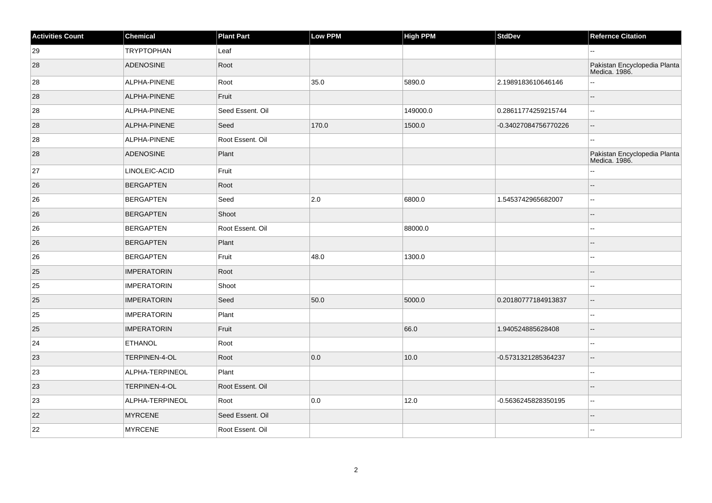| <b>Activities Count</b> | Chemical            | <b>Plant Part</b> | Low PPM | <b>High PPM</b> | <b>StdDev</b>        | <b>Refernce Citation</b>                      |
|-------------------------|---------------------|-------------------|---------|-----------------|----------------------|-----------------------------------------------|
| 29                      | <b>TRYPTOPHAN</b>   | Leaf              |         |                 |                      | --                                            |
| 28                      | <b>ADENOSINE</b>    | Root              |         |                 |                      | Pakistan Encyclopedia Planta<br>Medica. 1986. |
| 28                      | ALPHA-PINENE        | Root              | 35.0    | 5890.0          | 2.1989183610646146   | ÷.                                            |
| 28                      | <b>ALPHA-PINENE</b> | Fruit             |         |                 |                      | ш,                                            |
| 28                      | ALPHA-PINENE        | Seed Essent. Oil  |         | 149000.0        | 0.28611774259215744  | $\overline{\phantom{a}}$                      |
| 28                      | ALPHA-PINENE        | Seed              | 170.0   | 1500.0          | -0.34027084756770226 | $-$                                           |
| 28                      | ALPHA-PINENE        | Root Essent. Oil  |         |                 |                      | $\mathbf{u}$                                  |
| 28                      | <b>ADENOSINE</b>    | Plant             |         |                 |                      | Pakistan Encyclopedia Planta<br>Medica. 1986. |
| 27                      | LINOLEIC-ACID       | Fruit             |         |                 |                      | ۵.                                            |
| 26                      | <b>BERGAPTEN</b>    | Root              |         |                 |                      | ۵.                                            |
| 26                      | <b>BERGAPTEN</b>    | Seed              | 2.0     | 6800.0          | 1.5453742965682007   | $\mathbf{u}$                                  |
| 26                      | <b>BERGAPTEN</b>    | Shoot             |         |                 |                      |                                               |
| 26                      | <b>BERGAPTEN</b>    | Root Essent. Oil  |         | 88000.0         |                      | $\overline{\phantom{a}}$                      |
| 26                      | <b>BERGAPTEN</b>    | Plant             |         |                 |                      | ш,                                            |
| 26                      | <b>BERGAPTEN</b>    | Fruit             | 48.0    | 1300.0          |                      | --                                            |
| 25                      | <b>IMPERATORIN</b>  | Root              |         |                 |                      |                                               |
| 25                      | <b>IMPERATORIN</b>  | Shoot             |         |                 |                      | --                                            |
| 25                      | <b>IMPERATORIN</b>  | Seed              | 50.0    | 5000.0          | 0.20180777184913837  | $\overline{\phantom{a}}$                      |
| 25                      | <b>IMPERATORIN</b>  | Plant             |         |                 |                      | $\mathbf{u}$                                  |
| 25                      | <b>IMPERATORIN</b>  | Fruit             |         | 66.0            | 1.940524885628408    | $-$                                           |
| 24                      | <b>ETHANOL</b>      | Root              |         |                 |                      | $\overline{\phantom{a}}$                      |
| 23                      | TERPINEN-4-OL       | Root              | 0.0     | 10.0            | -0.5731321285364237  | $\overline{\phantom{a}}$                      |
| 23                      | ALPHA-TERPINEOL     | Plant             |         |                 |                      | Щ,                                            |
| 23                      | TERPINEN-4-OL       | Root Essent. Oil  |         |                 |                      | --                                            |
| 23                      | ALPHA-TERPINEOL     | Root              | 0.0     | 12.0            | -0.5636245828350195  | ۵.                                            |
| 22                      | <b>MYRCENE</b>      | Seed Essent. Oil  |         |                 |                      |                                               |
| 22                      | MYRCENE             | Root Essent. Oil  |         |                 |                      |                                               |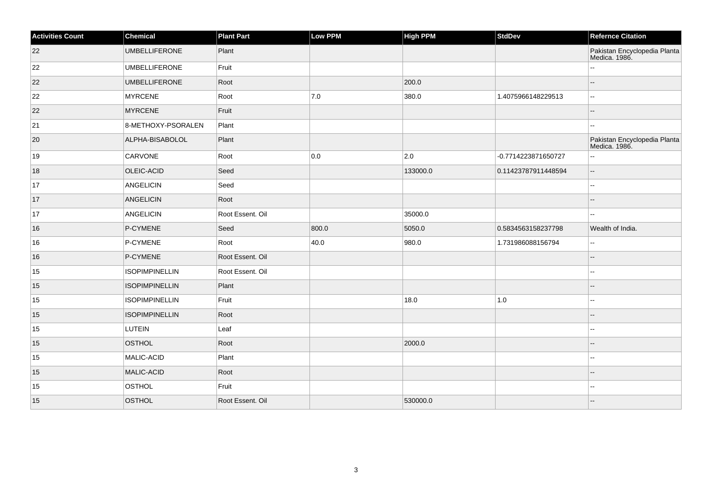| <b>Activities Count</b> | Chemical              | <b>Plant Part</b> | Low PPM | <b>High PPM</b> | <b>StdDev</b>       | <b>Refernce Citation</b>                      |
|-------------------------|-----------------------|-------------------|---------|-----------------|---------------------|-----------------------------------------------|
| 22                      | <b>UMBELLIFERONE</b>  | Plant             |         |                 |                     | Pakistan Encyclopedia Planta<br>Medica. 1986. |
| 22                      | <b>UMBELLIFERONE</b>  | Fruit             |         |                 |                     |                                               |
| 22                      | <b>UMBELLIFERONE</b>  | Root              |         | 200.0           |                     | $-$                                           |
| 22                      | <b>MYRCENE</b>        | Root              | 7.0     | 380.0           | 1.4075966148229513  | ۵.                                            |
| 22                      | <b>MYRCENE</b>        | Fruit             |         |                 |                     | ш,                                            |
| 21                      | 8-METHOXY-PSORALEN    | Plant             |         |                 |                     |                                               |
| 20                      | ALPHA-BISABOLOL       | Plant             |         |                 |                     | Pakistan Encyclopedia Planta<br>Medica. 1986. |
| 19                      | <b>CARVONE</b>        | Root              | 0.0     | $\vert$ 2.0     | -0.7714223871650727 | ц,                                            |
| 18                      | OLEIC-ACID            | Seed              |         | 133000.0        | 0.11423787911448594 | --                                            |
| 17                      | <b>ANGELICIN</b>      | Seed              |         |                 |                     |                                               |
| 17                      | ANGELICIN             | Root              |         |                 |                     | --                                            |
| 17                      | <b>ANGELICIN</b>      | Root Essent. Oil  |         | 35000.0         |                     | $-1$                                          |
| 16                      | P-CYMENE              | Seed              | 800.0   | 5050.0          | 0.5834563158237798  | Wealth of India.                              |
| 16                      | P-CYMENE              | Root              | 40.0    | 980.0           | 1.731986088156794   | ш,                                            |
| 16                      | P-CYMENE              | Root Essent. Oil  |         |                 |                     |                                               |
| 15                      | <b>ISOPIMPINELLIN</b> | Root Essent. Oil  |         |                 |                     |                                               |
| 15                      | <b>ISOPIMPINELLIN</b> | Plant             |         |                 |                     |                                               |
| 15                      | <b>ISOPIMPINELLIN</b> | Fruit             |         | 18.0            | $1.0\,$             | $-1$                                          |
| 15                      | <b>ISOPIMPINELLIN</b> | Root              |         |                 |                     | $-$                                           |
| 15                      | LUTEIN                | Leaf              |         |                 |                     |                                               |
| 15                      | <b>OSTHOL</b>         | Root              |         | 2000.0          |                     |                                               |
| 15                      | MALIC-ACID            | Plant             |         |                 |                     |                                               |
| 15                      | MALIC-ACID            | Root              |         |                 |                     |                                               |
| 15                      | OSTHOL                | Fruit             |         |                 |                     | $-1$                                          |
| 15                      | OSTHOL                | Root Essent. Oil  |         | 530000.0        |                     |                                               |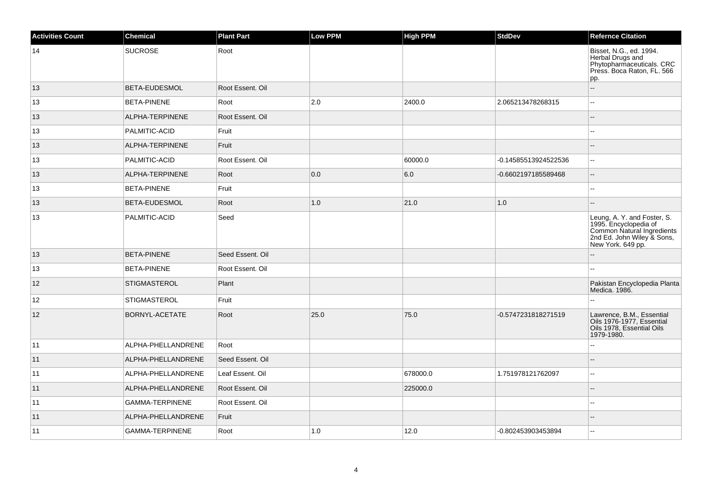| <b>Activities Count</b> | <b>Chemical</b>     | <b>Plant Part</b> | <b>Low PPM</b> | <b>High PPM</b> | <b>StdDev</b>        | <b>Refernce Citation</b>                                                                                                              |
|-------------------------|---------------------|-------------------|----------------|-----------------|----------------------|---------------------------------------------------------------------------------------------------------------------------------------|
| 14                      | <b>SUCROSE</b>      | Root              |                |                 |                      | Bisset, N.G., ed. 1994.<br>Herbal Drugs and<br>Phytopharmaceuticals. CRC<br>Press. Boca Raton, FL. 566<br>pp.                         |
| 13                      | BETA-EUDESMOL       | Root Essent, Oil  |                |                 |                      | Ξ.                                                                                                                                    |
| 13                      | <b>BETA-PINENE</b>  | Root              | 2.0            | 2400.0          | 2.065213478268315    | $-$                                                                                                                                   |
| 13                      | ALPHA-TERPINENE     | Root Essent, Oil  |                |                 |                      | Ξ.                                                                                                                                    |
| 13                      | PALMITIC-ACID       | Fruit             |                |                 |                      |                                                                                                                                       |
| 13                      | ALPHA-TERPINENE     | Fruit             |                |                 |                      |                                                                                                                                       |
| 13                      | PALMITIC-ACID       | Root Essent. Oil  |                | 60000.0         | -0.14585513924522536 | Ξ.                                                                                                                                    |
| 13                      | ALPHA-TERPINENE     | Root              | 0.0            | 6.0             | -0.6602197185589468  | $-$                                                                                                                                   |
| 13                      | <b>BETA-PINENE</b>  | Fruit             |                |                 |                      |                                                                                                                                       |
| 13                      | BETA-EUDESMOL       | Root              | 1.0            | 21.0            | 1.0                  |                                                                                                                                       |
| 13                      | PALMITIC-ACID       | Seed              |                |                 |                      | Leung, A. Y. and Foster, S.<br>1995. Encyclopedia of<br>Common Natural Ingredients<br>2nd Ed. John Wiley & Sons,<br>New York. 649 pp. |
| 13                      | <b>BETA-PINENE</b>  | Seed Essent, Oil  |                |                 |                      |                                                                                                                                       |
| 13                      | <b>BETA-PINENE</b>  | Root Essent. Oil  |                |                 |                      |                                                                                                                                       |
| 12                      | <b>STIGMASTEROL</b> | Plant             |                |                 |                      | Pakistan Encyclopedia Planta<br>Medica. 1986.                                                                                         |
| 12                      | <b>STIGMASTEROL</b> | Fruit             |                |                 |                      |                                                                                                                                       |
| 12                      | BORNYL-ACETATE      | Root              | 25.0           | 75.0            | -0.5747231818271519  | Lawrence, B.M., Essential<br>Oils 1976-1977, Essential<br>Oils 1978, Essential Oils<br>1979-1980.                                     |
| 11                      | ALPHA-PHELLANDRENE  | Root              |                |                 |                      |                                                                                                                                       |
| 11                      | ALPHA-PHELLANDRENE  | Seed Essent. Oil  |                |                 |                      | $-$                                                                                                                                   |
| 11                      | ALPHA-PHELLANDRENE  | Leaf Essent. Oil  |                | 678000.0        | 1.751978121762097    | $\sim$                                                                                                                                |
| 11                      | ALPHA-PHELLANDRENE  | Root Essent. Oil  |                | 225000.0        |                      |                                                                                                                                       |
| 11                      | GAMMA-TERPINENE     | Root Essent. Oil  |                |                 |                      |                                                                                                                                       |
| 11                      | ALPHA-PHELLANDRENE  | Fruit             |                |                 |                      |                                                                                                                                       |
| 11                      | GAMMA-TERPINENE     | Root              | 1.0            | 12.0            | -0.802453903453894   |                                                                                                                                       |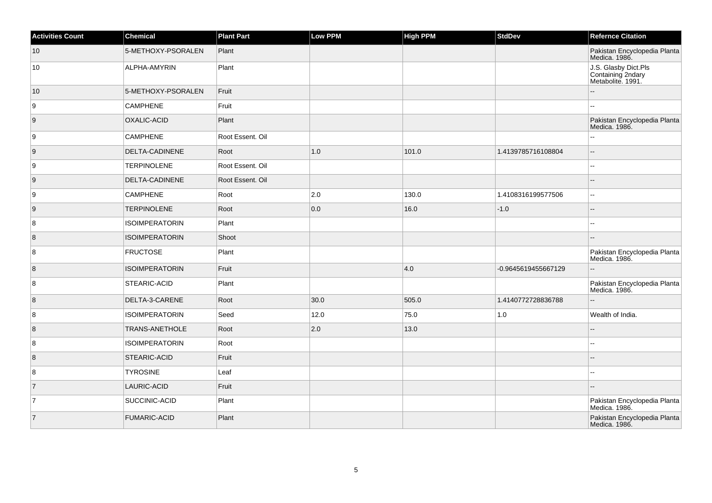| <b>Activities Count</b> | <b>Chemical</b>       | <b>Plant Part</b> | <b>Low PPM</b> | <b>High PPM</b> | <b>StdDev</b>       | <b>Refernce Citation</b>                                       |
|-------------------------|-----------------------|-------------------|----------------|-----------------|---------------------|----------------------------------------------------------------|
| 10                      | 5-METHOXY-PSORALEN    | Plant             |                |                 |                     | Pakistan Encyclopedia Planta<br>Medica. 1986.                  |
| 10                      | ALPHA-AMYRIN          | Plant             |                |                 |                     | J.S. Glasby Dict.Pls<br>Containing 2ndary<br>Metabolite. 1991. |
| 10                      | 5-METHOXY-PSORALEN    | Fruit             |                |                 |                     |                                                                |
| 9                       | <b>CAMPHENE</b>       | Fruit             |                |                 |                     |                                                                |
| 9                       | OXALIC-ACID           | Plant             |                |                 |                     | Pakistan Encyclopedia Planta<br>Medica. 1986.                  |
| 9                       | <b>CAMPHENE</b>       | Root Essent. Oil  |                |                 |                     | --                                                             |
| 9                       | DELTA-CADINENE        | Root              | 1.0            | 101.0           | 1.4139785716108804  |                                                                |
| 9                       | <b>TERPINOLENE</b>    | Root Essent, Oil  |                |                 |                     |                                                                |
| 9                       | DELTA-CADINENE        | Root Essent. Oil  |                |                 |                     |                                                                |
| 9                       | <b>CAMPHENE</b>       | Root              | $ 2.0\rangle$  | 130.0           | 1.4108316199577506  | --                                                             |
| 9                       | <b>TERPINOLENE</b>    | Root              | 0.0            | 16.0            | $-1.0$              |                                                                |
| 8                       | <b>ISOIMPERATORIN</b> | Plant             |                |                 |                     | ۵.                                                             |
| $\bf 8$                 | <b>ISOIMPERATORIN</b> | Shoot             |                |                 |                     |                                                                |
| 8                       | <b>FRUCTOSE</b>       | Plant             |                |                 |                     | Pakistan Encyclopedia Planta<br>Medica. 1986.                  |
| $\boldsymbol{8}$        | <b>ISOIMPERATORIN</b> | Fruit             |                | 4.0             | -0.9645619455667129 |                                                                |
| 8                       | STEARIC-ACID          | Plant             |                |                 |                     | Pakistan Encyclopedia Planta<br>Medica. 1986.                  |
| 8                       | DELTA-3-CARENE        | Root              | 30.0           | 505.0           | 1.4140772728836788  |                                                                |
| 8                       | <b>ISOIMPERATORIN</b> | Seed              | 12.0           | 75.0            | 1.0                 | Wealth of India.                                               |
| $\boldsymbol{8}$        | TRANS-ANETHOLE        | Root              | 2.0            | 13.0            |                     |                                                                |
| 8                       | <b>ISOIMPERATORIN</b> | Root              |                |                 |                     |                                                                |
| $\boldsymbol{8}$        | STEARIC-ACID          | Fruit             |                |                 |                     |                                                                |
| 8                       | <b>TYROSINE</b>       | Leaf              |                |                 |                     | ш.                                                             |
| 7                       | LAURIC-ACID           | Fruit             |                |                 |                     |                                                                |
| $\overline{7}$          | SUCCINIC-ACID         | Plant             |                |                 |                     | Pakistan Encyclopedia Planta<br>Medica. 1986.                  |
| $\overline{7}$          | <b>FUMARIC-ACID</b>   | Plant             |                |                 |                     | Pakistan Encyclopedia Planta<br>Medica. 1986.                  |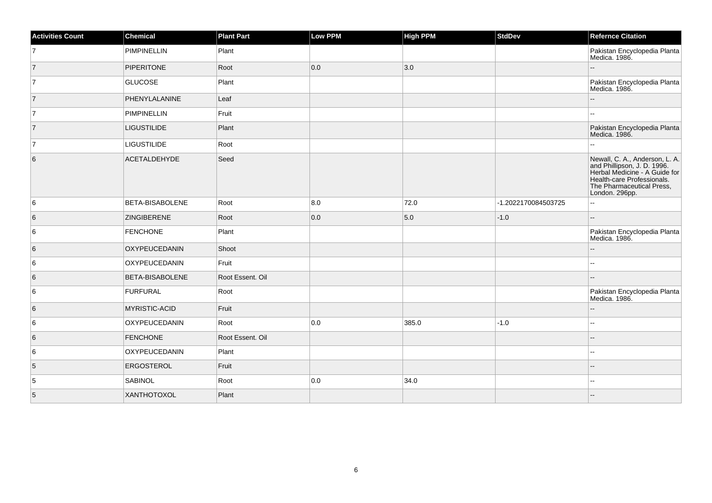| <b>Activities Count</b> | <b>Chemical</b>    | <b>Plant Part</b> | <b>Low PPM</b> | <b>High PPM</b> | <b>StdDev</b>       | <b>Refernce Citation</b>                                                                                                                                                    |
|-------------------------|--------------------|-------------------|----------------|-----------------|---------------------|-----------------------------------------------------------------------------------------------------------------------------------------------------------------------------|
| $\overline{7}$          | <b>PIMPINELLIN</b> | Plant             |                |                 |                     | Pakistan Encyclopedia Planta<br>Medica. 1986.                                                                                                                               |
| $\vert$ 7               | <b>PIPERITONE</b>  | Root              | 0.0            | 3.0             |                     |                                                                                                                                                                             |
| $\overline{7}$          | <b>GLUCOSE</b>     | Plant             |                |                 |                     | Pakistan Encyclopedia Planta<br>Medica. 1986.                                                                                                                               |
| $\overline{7}$          | PHENYLALANINE      | Leaf              |                |                 |                     | $\qquad \qquad -$                                                                                                                                                           |
| $\overline{7}$          | <b>PIMPINELLIN</b> | Fruit             |                |                 |                     |                                                                                                                                                                             |
| $\overline{7}$          | <b>LIGUSTILIDE</b> | Plant             |                |                 |                     | Pakistan Encyclopedia Planta<br>Medica. 1986.                                                                                                                               |
| $\overline{7}$          | <b>LIGUSTILIDE</b> | Root              |                |                 |                     | $\overline{a}$                                                                                                                                                              |
| $\,6$                   | ACETALDEHYDE       | Seed              |                |                 |                     | Newall, C. A., Anderson, L. A.<br>and Phillipson, J. D. 1996.<br>Herbal Medicine - A Guide for<br>Health-care Professionals.<br>The Pharmaceutical Press,<br>London. 296pp. |
| 6                       | BETA-BISABOLENE    | Root              | 8.0            | 72.0            | -1.2022170084503725 | $\mathbf{H}$                                                                                                                                                                |
| 6                       | <b>ZINGIBERENE</b> | Root              | 0.0            | 5.0             | $-1.0$              | $\overline{a}$                                                                                                                                                              |
| 6                       | <b>FENCHONE</b>    | Plant             |                |                 |                     | Pakistan Encyclopedia Planta<br>Medica. 1986.                                                                                                                               |
| 6                       | OXYPEUCEDANIN      | Shoot             |                |                 |                     | $\overline{\phantom{a}}$                                                                                                                                                    |
| 6                       | OXYPEUCEDANIN      | Fruit             |                |                 |                     | --                                                                                                                                                                          |
| $\,6$                   | BETA-BISABOLENE    | Root Essent. Oil  |                |                 |                     |                                                                                                                                                                             |
| 6                       | <b>FURFURAL</b>    | Root              |                |                 |                     | Pakistan Encyclopedia Planta<br>Medica. 1986.                                                                                                                               |
| 6                       | MYRISTIC-ACID      | Fruit             |                |                 |                     | $\overline{a}$                                                                                                                                                              |
| 6                       | OXYPEUCEDANIN      | Root              | 0.0            | 385.0           | $-1.0$              | --                                                                                                                                                                          |
| 6                       | <b>FENCHONE</b>    | Root Essent. Oil  |                |                 |                     |                                                                                                                                                                             |
| 6                       | OXYPEUCEDANIN      | Plant             |                |                 |                     | $\sim$                                                                                                                                                                      |
| 5                       | ERGOSTEROL         | Fruit             |                |                 |                     |                                                                                                                                                                             |
| 5                       | <b>SABINOL</b>     | Root              | 0.0            | 34.0            |                     | $\overline{\phantom{a}}$                                                                                                                                                    |
| 5                       | XANTHOTOXOL        | Plant             |                |                 |                     |                                                                                                                                                                             |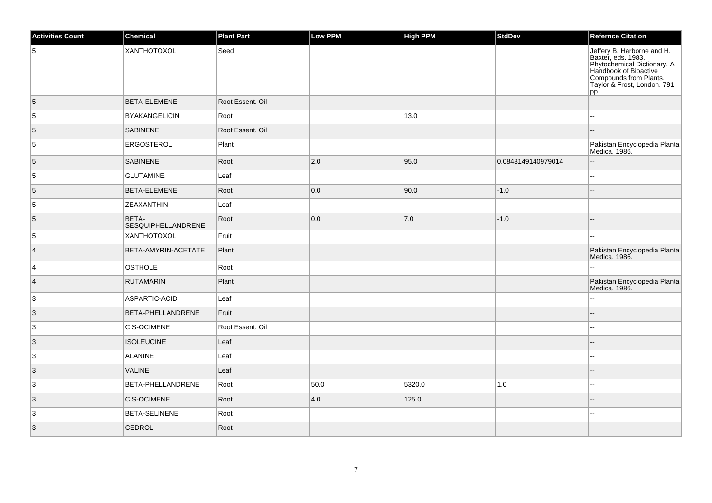| <b>Activities Count</b> | Chemical                           | <b>Plant Part</b> | Low PPM | <b>High PPM</b> | StdDev             | <b>Refernce Citation</b>                                                                                                                                                 |
|-------------------------|------------------------------------|-------------------|---------|-----------------|--------------------|--------------------------------------------------------------------------------------------------------------------------------------------------------------------------|
| 5                       | XANTHOTOXOL                        | Seed              |         |                 |                    | Jeffery B. Harborne and H.<br>Baxter, eds. 1983.<br>Phytochemical Dictionary. A<br>Handbook of Bioactive<br>Compounds from Plants.<br>Taylor & Frost, London. 791<br>pp. |
| 5                       | BETA-ELEMENE                       | Root Essent. Oil  |         |                 |                    | ш,                                                                                                                                                                       |
| $\overline{5}$          | <b>BYAKANGELICIN</b>               | Root              |         | 13.0            |                    | 44                                                                                                                                                                       |
| 5                       | <b>SABINENE</b>                    | Root Essent. Oil  |         |                 |                    |                                                                                                                                                                          |
| 5                       | <b>ERGOSTEROL</b>                  | Plant             |         |                 |                    | Pakistan Encyclopedia Planta<br>Medica. 1986.                                                                                                                            |
| $\overline{5}$          | <b>SABINENE</b>                    | Root              | 2.0     | 95.0            | 0.0843149140979014 | $-$                                                                                                                                                                      |
| $\overline{5}$          | <b>GLUTAMINE</b>                   | Leaf              |         |                 |                    | шш.                                                                                                                                                                      |
| $\overline{5}$          | <b>BETA-ELEMENE</b>                | Root              | 0.0     | 90.0            | $-1.0$             | --                                                                                                                                                                       |
| 5                       | ZEAXANTHIN                         | Leaf              |         |                 |                    |                                                                                                                                                                          |
| 5                       | BETA-<br><b>SESQUIPHELLANDRENE</b> | Root              | 0.0     | 7.0             | $-1.0$             | $-$                                                                                                                                                                      |
| 5                       | XANTHOTOXOL                        | Fruit             |         |                 |                    | --                                                                                                                                                                       |
| $\vert$ 4               | BETA-AMYRIN-ACETATE                | Plant             |         |                 |                    | Pakistan Encyclopedia Planta<br>Medica. 1986.                                                                                                                            |
| 4                       | OSTHOLE                            | Root              |         |                 |                    |                                                                                                                                                                          |
| $\vert$ 4               | <b>RUTAMARIN</b>                   | Plant             |         |                 |                    | Pakistan Encyclopedia Planta<br>Medica. 1986.                                                                                                                            |
| 3                       | ASPARTIC-ACID                      | Leaf              |         |                 |                    | Ξ.                                                                                                                                                                       |
| $\vert 3 \vert$         | BETA-PHELLANDRENE                  | Fruit             |         |                 |                    | $-$                                                                                                                                                                      |
| $\overline{3}$          | <b>CIS-OCIMENE</b>                 | Root Essent. Oil  |         |                 |                    |                                                                                                                                                                          |
| $\vert 3 \vert$         | <b>ISOLEUCINE</b>                  | Leaf              |         |                 |                    |                                                                                                                                                                          |
| 3                       | ALANINE                            | Leaf              |         |                 |                    | ÷÷.                                                                                                                                                                      |
| $\overline{3}$          | <b>VALINE</b>                      | Leaf              |         |                 |                    |                                                                                                                                                                          |
| 3                       | BETA-PHELLANDRENE                  | Root              | 50.0    | 5320.0          | $1.0$              | --                                                                                                                                                                       |
| $\vert$ 3               | <b>CIS-OCIMENE</b>                 | Root              | 4.0     | 125.0           |                    |                                                                                                                                                                          |
| 3                       | <b>BETA-SELINENE</b>               | Root              |         |                 |                    | ۵.                                                                                                                                                                       |
| $\overline{3}$          | CEDROL                             | Root              |         |                 |                    |                                                                                                                                                                          |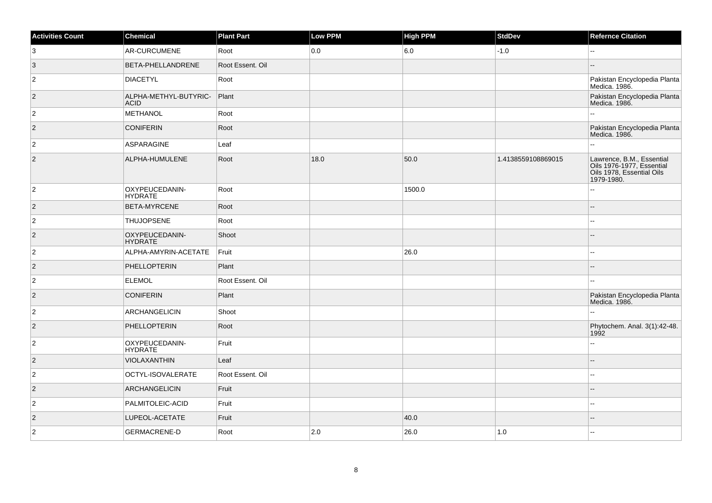| <b>Activities Count</b> | Chemical                             | <b>Plant Part</b> | Low PPM | <b>High PPM</b> | <b>StdDev</b>      | <b>Refernce Citation</b>                                                                          |
|-------------------------|--------------------------------------|-------------------|---------|-----------------|--------------------|---------------------------------------------------------------------------------------------------|
| $\overline{3}$          | AR-CURCUMENE                         | Root              | 0.0     | 6.0             | $-1.0$             |                                                                                                   |
| $\vert 3 \vert$         | BETA-PHELLANDRENE                    | Root Essent, Oil  |         |                 |                    |                                                                                                   |
| $\vert$ 2               | <b>DIACETYL</b>                      | Root              |         |                 |                    | Pakistan Encyclopedia Planta<br>Medica. 1986.                                                     |
| $ 2\rangle$             | ALPHA-METHYL-BUTYRIC-<br><b>ACID</b> | Plant             |         |                 |                    | Pakistan Encyclopedia Planta<br>Medica. 1986.                                                     |
| $\overline{2}$          | METHANOL                             | Root              |         |                 |                    |                                                                                                   |
| $ 2\rangle$             | <b>CONIFERIN</b>                     | Root              |         |                 |                    | Pakistan Encyclopedia Planta<br>Medica. 1986.                                                     |
| $\overline{2}$          | <b>ASPARAGINE</b>                    | Leaf              |         |                 |                    |                                                                                                   |
| $\overline{2}$          | ALPHA-HUMULENE                       | Root              | 18.0    | 50.0            | 1.4138559108869015 | Lawrence, B.M., Essential<br>Oils 1976-1977, Essential<br>Oils 1978, Essential Oils<br>1979-1980. |
| $\overline{2}$          | OXYPEUCEDANIN-<br><b>HYDRATE</b>     | Root              |         | 1500.0          |                    | 4                                                                                                 |
| $\overline{2}$          | BETA-MYRCENE                         | Root              |         |                 |                    |                                                                                                   |
| $\overline{2}$          | <b>THUJOPSENE</b>                    | Root              |         |                 |                    | ż.                                                                                                |
| $\vert$ 2               | OXYPEUCEDANIN-<br><b>HYDRATE</b>     | Shoot             |         |                 |                    | ÷.                                                                                                |
| $\overline{2}$          | ALPHA-AMYRIN-ACETATE                 | Fruit             |         | 26.0            |                    | шш.                                                                                               |
| $\vert$ 2               | <b>PHELLOPTERIN</b>                  | Plant             |         |                 |                    |                                                                                                   |
| $\overline{2}$          | <b>ELEMOL</b>                        | Root Essent. Oil  |         |                 |                    |                                                                                                   |
| $\overline{2}$          | <b>CONIFERIN</b>                     | Plant             |         |                 |                    | Pakistan Encyclopedia Planta<br>Medica. 1986.                                                     |
| $\overline{2}$          | ARCHANGELICIN                        | Shoot             |         |                 |                    |                                                                                                   |
| $ 2\rangle$             | PHELLOPTERIN                         | Root              |         |                 |                    | Phytochem. Anal. 3(1):42-48.<br>1992                                                              |
| $\vert$ 2               | OXYPEUCEDANIN-<br><b>HYDRATE</b>     | Fruit             |         |                 |                    | L.                                                                                                |
| $\vert$ 2               | VIOLAXANTHIN                         | Leaf              |         |                 |                    |                                                                                                   |
| $\vert$ 2               | OCTYL-ISOVALERATE                    | Root Essent. Oil  |         |                 |                    | 44                                                                                                |
| $\vert$ 2               | <b>ARCHANGELICIN</b>                 | Fruit             |         |                 |                    |                                                                                                   |
| $\overline{2}$          | PALMITOLEIC-ACID                     | Fruit             |         |                 |                    | $\overline{a}$                                                                                    |
| $\vert$ 2               | LUPEOL-ACETATE                       | Fruit             |         | 40.0            |                    |                                                                                                   |
| $\overline{2}$          | <b>GERMACRENE-D</b>                  | Root              | 2.0     | 26.0            | $1.0$              | ż.                                                                                                |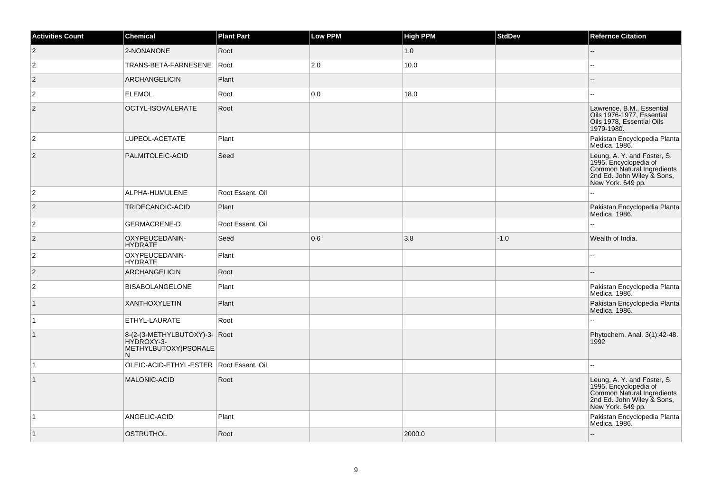| <b>Activities Count</b> | Chemical                                                                  | <b>Plant Part</b> | Low PPM | <b>High PPM</b> | <b>StdDev</b> | <b>Refernce Citation</b>                                                                                                              |
|-------------------------|---------------------------------------------------------------------------|-------------------|---------|-----------------|---------------|---------------------------------------------------------------------------------------------------------------------------------------|
| $\vert$ 2               | 2-NONANONE                                                                | Root              |         | 1.0             |               |                                                                                                                                       |
| $\overline{2}$          | TRANS-BETA-FARNESENE                                                      | Root              | 2.0     | 10.0            |               |                                                                                                                                       |
| $\overline{2}$          | <b>ARCHANGELICIN</b>                                                      | Plant             |         |                 |               |                                                                                                                                       |
| $\overline{2}$          | <b>ELEMOL</b>                                                             | Root              | 0.0     | 18.0            |               |                                                                                                                                       |
| $\overline{2}$          | OCTYL-ISOVALERATE                                                         | Root              |         |                 |               | Lawrence, B.M., Essential<br>Oils 1976-1977, Essential<br>Oils 1978, Essential Oils<br>1979-1980.                                     |
| $\overline{c}$          | LUPEOL-ACETATE                                                            | Plant             |         |                 |               | Pakistan Encyclopedia Planta<br>Medica. 1986.                                                                                         |
| 2                       | PALMITOLEIC-ACID                                                          | Seed              |         |                 |               | Leung, A. Y. and Foster, S.<br>1995. Encyclopedia of<br>Common Natural Ingredients<br>2nd Ed. John Wiley & Sons,<br>New York. 649 pp. |
| $\overline{2}$          | ALPHA-HUMULENE                                                            | Root Essent. Oil  |         |                 |               |                                                                                                                                       |
| $\vert$ 2               | TRIDECANOIC-ACID                                                          | Plant             |         |                 |               | Pakistan Encyclopedia Planta<br>Medica. 1986.                                                                                         |
| $\overline{c}$          | <b>GERMACRENE-D</b>                                                       | Root Essent. Oil  |         |                 |               |                                                                                                                                       |
| $ 2\rangle$             | OXYPEUCEDANIN-<br><b>HYDRATE</b>                                          | Seed              | 0.6     | 3.8             | $-1.0$        | Wealth of India.                                                                                                                      |
| $\overline{2}$          | OXYPEUCEDANIN-<br><b>HYDRATE</b>                                          | Plant             |         |                 |               |                                                                                                                                       |
| $\vert$ 2               | <b>ARCHANGELICIN</b>                                                      | Root              |         |                 |               |                                                                                                                                       |
| $\overline{2}$          | <b>BISABOLANGELONE</b>                                                    | Plant             |         |                 |               | Pakistan Encyclopedia Planta<br>Medica. 1986.                                                                                         |
| $\vert$ 1               | <b>XANTHOXYLETIN</b>                                                      | Plant             |         |                 |               | Pakistan Encyclopedia Planta<br>Medica. 1986.                                                                                         |
| $\overline{1}$          | ETHYL-LAURATE                                                             | Root              |         |                 |               |                                                                                                                                       |
| $\vert$ 1               | 8-(2-(3-METHYLBUTOXY)-3- Root<br>HYDROXY-3-<br>METHYLBUTOXY)PSORALE<br>N. |                   |         |                 |               | Phytochem. Anal. 3(1):42-48.<br>1992                                                                                                  |
| $\overline{1}$          | OLEIC-ACID-ETHYL-ESTER   Root Essent. Oil                                 |                   |         |                 |               |                                                                                                                                       |
| $\vert$ 1               | MALONIC-ACID                                                              | Root              |         |                 |               | Leung, A. Y. and Foster, S.<br>1995. Encyclopedia of<br>Common Natural Ingredients<br>2nd Ed. John Wiley & Sons,<br>New York. 649 pp. |
| $\vert$ 1               | ANGELIC-ACID                                                              | Plant             |         |                 |               | Pakistan Encyclopedia Planta<br>Medica. 1986.                                                                                         |
| $\vert$ 1               | <b>OSTRUTHOL</b>                                                          | Root              |         | 2000.0          |               |                                                                                                                                       |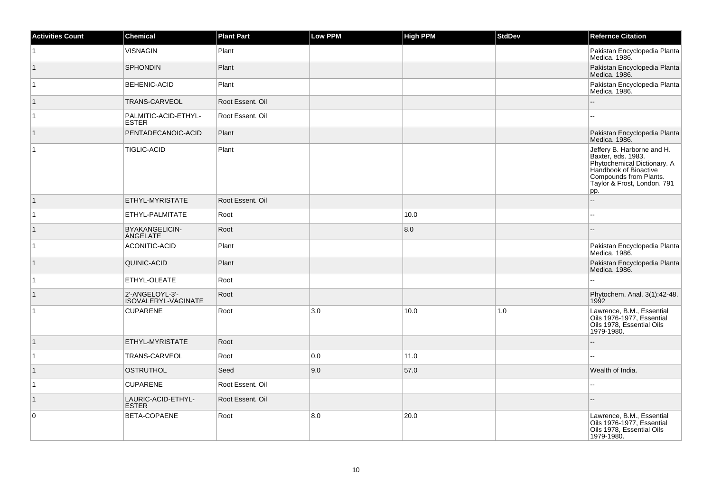| <b>Activities Count</b> | <b>Chemical</b>                        | <b>Plant Part</b> | <b>Low PPM</b> | <b>High PPM</b> | <b>StdDev</b> | <b>Refernce Citation</b>                                                                                                                                                 |
|-------------------------|----------------------------------------|-------------------|----------------|-----------------|---------------|--------------------------------------------------------------------------------------------------------------------------------------------------------------------------|
| $\vert$ 1               | <b>VISNAGIN</b>                        | Plant             |                |                 |               | Pakistan Encyclopedia Planta<br>Medica. 1986.                                                                                                                            |
| $\vert$ 1               | <b>SPHONDIN</b>                        | Plant             |                |                 |               | Pakistan Encyclopedia Planta<br>Medica. 1986.                                                                                                                            |
| $\vert$ 1               | <b>BEHENIC-ACID</b>                    | Plant             |                |                 |               | Pakistan Encyclopedia Planta<br>Medica. 1986.                                                                                                                            |
| $\vert$ 1               | TRANS-CARVEOL                          | Root Essent. Oil  |                |                 |               |                                                                                                                                                                          |
| $\vert$ 1               | PALMITIC-ACID-ETHYL-<br><b>ESTER</b>   | Root Essent. Oil  |                |                 |               |                                                                                                                                                                          |
| $\vert$ 1               | PENTADECANOIC-ACID                     | Plant             |                |                 |               | Pakistan Encyclopedia Planta<br>Medica. 1986.                                                                                                                            |
| $\vert$ 1               | <b>TIGLIC-ACID</b>                     | Plant             |                |                 |               | Jeffery B. Harborne and H.<br>Baxter, eds. 1983.<br>Phytochemical Dictionary. A<br>Handbook of Bioactive<br>Compounds from Plants.<br>Taylor & Frost, London. 791<br>pp. |
| $\vert$ 1               | ETHYL-MYRISTATE                        | Root Essent, Oil  |                |                 |               | -−                                                                                                                                                                       |
| $\vert$ 1               | ETHYL-PALMITATE                        | Root              |                | 10.0            |               |                                                                                                                                                                          |
| $\vert$ 1               | BYAKANGELICIN-<br>ANGELATE             | Root              |                | 8.0             |               |                                                                                                                                                                          |
| $\vert$ 1               | <b>ACONITIC-ACID</b>                   | Plant             |                |                 |               | Pakistan Encyclopedia Planta<br>Medica. 1986.                                                                                                                            |
| $\vert$ 1               | QUINIC-ACID                            | Plant             |                |                 |               | Pakistan Encyclopedia Planta<br>Medica. 1986.                                                                                                                            |
| $\vert$ 1               | ETHYL-OLEATE                           | Root              |                |                 |               |                                                                                                                                                                          |
| $\vert$ 1               | 2'-ANGELOYL-3'-<br>ISOVALERYL-VAGINATE | Root              |                |                 |               | Phytochem. Anal. 3(1):42-48.<br>1992                                                                                                                                     |
| $\vert$ 1               | <b>CUPARENE</b>                        | Root              | 3.0            | 10.0            | 1.0           | Lawrence, B.M., Essential<br>Oils 1976-1977, Essential<br>Oils 1978, Essential Oils<br>1979-1980.                                                                        |
| $\vert$ 1               | ETHYL-MYRISTATE                        | Root              |                |                 |               |                                                                                                                                                                          |
| $\vert$ 1               | TRANS-CARVEOL                          | Root              | 0.0            | 11.0            |               |                                                                                                                                                                          |
| $\vert$ 1               | <b>OSTRUTHOL</b>                       | Seed              | 9.0            | 57.0            |               | Wealth of India.                                                                                                                                                         |
| $\vert$ 1               | <b>CUPARENE</b>                        | Root Essent, Oil  |                |                 |               | Ξ.                                                                                                                                                                       |
| $\vert$ 1               | LAURIC-ACID-ETHYL-<br><b>ESTER</b>     | Root Essent. Oil  |                |                 |               |                                                                                                                                                                          |
| 0                       | BETA-COPAENE                           | Root              | 8.0            | 20.0            |               | Lawrence, B.M., Essential<br>Oils 1976-1977, Essential<br>Oils 1978, Essential Oils<br>1979-1980.                                                                        |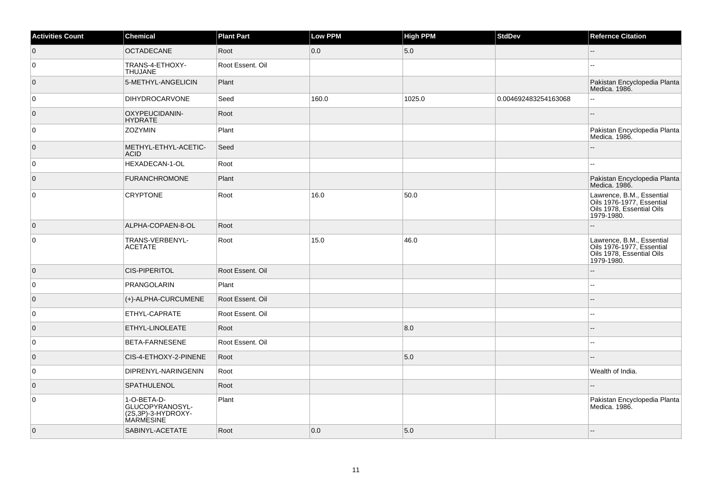| <b>Activities Count</b> | <b>Chemical</b>                                                          | <b>Plant Part</b> | Low PPM | <b>High PPM</b> | <b>StdDev</b>        | <b>Refernce Citation</b>                                                                          |
|-------------------------|--------------------------------------------------------------------------|-------------------|---------|-----------------|----------------------|---------------------------------------------------------------------------------------------------|
| $\overline{0}$          | <b>OCTADECANE</b>                                                        | Root              | 0.0     | 5.0             |                      | $-$                                                                                               |
| 0                       | TRANS-4-ETHOXY-<br><b>THUJANE</b>                                        | Root Essent. Oil  |         |                 |                      | ÷÷.                                                                                               |
| $\overline{0}$          | 5-METHYL-ANGELICIN                                                       | Plant             |         |                 |                      | Pakistan Encyclopedia Planta<br>Medica. 1986.                                                     |
| 0                       | <b>DIHYDROCARVONE</b>                                                    | Seed              | 160.0   | 1025.0          | 0.004692483254163068 |                                                                                                   |
| $\overline{0}$          | OXYPEUCIDANIN-<br><b>HYDRATE</b>                                         | Root              |         |                 |                      |                                                                                                   |
| $\overline{0}$          | <b>ZOZYMIN</b>                                                           | Plant             |         |                 |                      | Pakistan Encyclopedia Planta<br>Medica. 1986.                                                     |
| $\overline{0}$          | METHYL-ETHYL-ACETIC-<br><b>ACID</b>                                      | Seed              |         |                 |                      |                                                                                                   |
| $\overline{0}$          | HEXADECAN-1-OL                                                           | Root              |         |                 |                      |                                                                                                   |
| $\overline{0}$          | <b>FURANCHROMONE</b>                                                     | Plant             |         |                 |                      | Pakistan Encyclopedia Planta<br>Medica. 1986.                                                     |
| $\overline{0}$          | <b>CRYPTONE</b>                                                          | Root              | 16.0    | 50.0            |                      | Lawrence, B.M., Essential<br>Oils 1976-1977, Essential<br>Oils 1978, Essential Oils<br>1979-1980. |
| $\overline{0}$          | ALPHA-COPAEN-8-OL                                                        | Root              |         |                 |                      |                                                                                                   |
| $\mathsf 0$             | TRANS-VERBENYL-<br><b>ACETATE</b>                                        | Root              | 15.0    | 46.0            |                      | Lawrence, B.M., Essential<br>Oils 1976-1977, Essential<br>Oils 1978, Essential Oils<br>1979-1980. |
| $\overline{0}$          | <b>CIS-PIPERITOL</b>                                                     | Root Essent. Oil  |         |                 |                      | --                                                                                                |
| 0                       | PRANGOLARIN                                                              | Plant             |         |                 |                      |                                                                                                   |
| $\overline{0}$          | (+)-ALPHA-CURCUMENE                                                      | Root Essent. Oil  |         |                 |                      |                                                                                                   |
| 0                       | ETHYL-CAPRATE                                                            | Root Essent. Oil  |         |                 |                      | ۵.                                                                                                |
| $\overline{0}$          | ETHYL-LINOLEATE                                                          | Root              |         | 8.0             |                      |                                                                                                   |
| 0                       | BETA-FARNESENE                                                           | Root Essent. Oil  |         |                 |                      |                                                                                                   |
| $\overline{0}$          | CIS-4-ETHOXY-2-PINENE                                                    | Root              |         | 5.0             |                      |                                                                                                   |
| 0                       | DIPRENYL-NARINGENIN                                                      | Root              |         |                 |                      | Wealth of India.                                                                                  |
| $\overline{0}$          | <b>SPATHULENOL</b>                                                       | Root              |         |                 |                      |                                                                                                   |
| $\overline{0}$          | 1-O-BETA-D-<br>GLUCOPYRANOSYL-<br>(2S,3P)-3-HYDROXY-<br><b>MARMESINE</b> | Plant             |         |                 |                      | Pakistan Encyclopedia Planta<br>Medica. 1986.                                                     |
| $\overline{0}$          | SABINYL-ACETATE                                                          | Root              | 0.0     | 5.0             |                      | ш,                                                                                                |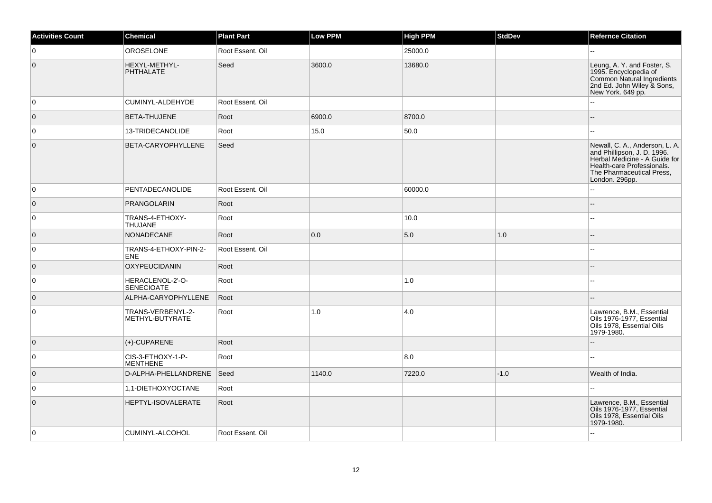| <b>Activities Count</b> | <b>Chemical</b>                       | <b>Plant Part</b> | Low PPM | <b>High PPM</b> | <b>StdDev</b> | <b>Refernce Citation</b>                                                                                                                                                    |
|-------------------------|---------------------------------------|-------------------|---------|-----------------|---------------|-----------------------------------------------------------------------------------------------------------------------------------------------------------------------------|
| 0                       | <b>OROSELONE</b>                      | Root Essent, Oil  |         | 25000.0         |               | Щ,                                                                                                                                                                          |
| $\overline{0}$          | HEXYL-METHYL-<br><b>PHTHALATE</b>     | Seed              | 3600.0  | 13680.0         |               | Leung, A. Y. and Foster, S.<br>1995. Encyclopedia of<br>Common Natural Ingredients<br>2nd Ed. John Wiley & Sons,<br>New York. 649 pp.                                       |
| 0                       | CUMINYL-ALDEHYDE                      | Root Essent. Oil  |         |                 |               | Ξ.                                                                                                                                                                          |
| $\overline{0}$          | <b>BETA-THUJENE</b>                   | Root              | 6900.0  | 8700.0          |               | $\overline{a}$                                                                                                                                                              |
| 0                       | 13-TRIDECANOLIDE                      | Root              | 15.0    | 50.0            |               | шш.                                                                                                                                                                         |
| $\overline{0}$          | BETA-CARYOPHYLLENE                    | Seed              |         |                 |               | Newall, C. A., Anderson, L. A.<br>and Phillipson, J. D. 1996.<br>Herbal Medicine - A Guide for<br>Health-care Professionals.<br>The Pharmaceutical Press,<br>London. 296pp. |
| 0                       | PENTADECANOLIDE                       | Root Essent. Oil  |         | 60000.0         |               | 44                                                                                                                                                                          |
| $\overline{0}$          | <b>PRANGOLARIN</b>                    | Root              |         |                 |               | --                                                                                                                                                                          |
| 0                       | TRANS-4-ETHOXY-<br><b>THUJANE</b>     | Root              |         | 10.0            |               | шш.                                                                                                                                                                         |
| $\overline{0}$          | NONADECANE                            | Root              | 0.0     | 5.0             | 1.0           | --                                                                                                                                                                          |
| 0                       | TRANS-4-ETHOXY-PIN-2-<br><b>ENE</b>   | Root Essent, Oil  |         |                 |               | шш.                                                                                                                                                                         |
| $\overline{0}$          | <b>OXYPEUCIDANIN</b>                  | Root              |         |                 |               |                                                                                                                                                                             |
| $\overline{0}$          | HERACLENOL-2'-O-<br><b>SENECIOATE</b> | Root              |         | 1.0             |               | ۵.                                                                                                                                                                          |
| $\overline{0}$          | ALPHA-CARYOPHYLLENE                   | Root              |         |                 |               |                                                                                                                                                                             |
| $\overline{0}$          | TRANS-VERBENYL-2-<br>METHYL-BUTYRATE  | Root              | 1.0     | 4.0             |               | Lawrence, B.M., Essential<br>Oils 1976-1977, Essential<br>Oils 1978, Essential Oils<br>1979-1980.                                                                           |
| $\overline{0}$          | $(+)$ -CUPARENE                       | Root              |         |                 |               |                                                                                                                                                                             |
| 0                       | CIS-3-ETHOXY-1-P-<br><b>MENTHENE</b>  | Root              |         | 8.0             |               | --                                                                                                                                                                          |
| $\overline{0}$          | D-ALPHA-PHELLANDRENE                  | Seed              | 1140.0  | 7220.0          | $-1.0$        | Wealth of India.                                                                                                                                                            |
| 0                       | 1,1-DIETHOXYOCTANE                    | Root              |         |                 |               | L.                                                                                                                                                                          |
| $\overline{0}$          | HEPTYL-ISOVALERATE                    | Root              |         |                 |               | Lawrence, B.M., Essential<br>Oils 1976-1977, Essential<br>Oils 1978, Essential Oils<br>1979-1980.                                                                           |
| 0                       | CUMINYL-ALCOHOL                       | Root Essent. Oil  |         |                 |               |                                                                                                                                                                             |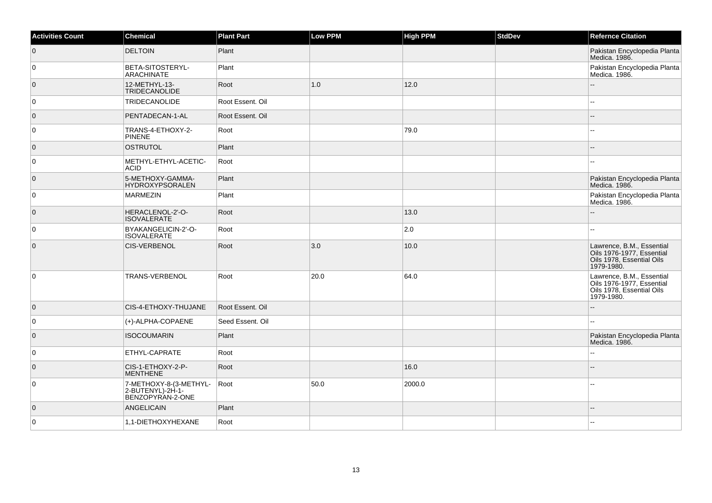| <b>Activities Count</b> | Chemical                                                       | <b>Plant Part</b> | Low PPM | <b>High PPM</b> | <b>StdDev</b> | <b>Refernce Citation</b>                                                                          |
|-------------------------|----------------------------------------------------------------|-------------------|---------|-----------------|---------------|---------------------------------------------------------------------------------------------------|
| $\overline{0}$          | <b>DELTOIN</b>                                                 | Plant             |         |                 |               | Pakistan Encyclopedia Planta<br>Medica. 1986.                                                     |
| 0                       | BETA-SITOSTERYL-<br><b>ARACHINATE</b>                          | Plant             |         |                 |               | Pakistan Encyclopedia Planta<br>Medica. 1986.                                                     |
| $\overline{0}$          | 12-METHYL-13-<br>TRIDECANOLIDE                                 | Root              | 1.0     | 12.0            |               |                                                                                                   |
| $\overline{0}$          | <b>TRIDECANOLIDE</b>                                           | Root Essent. Oil  |         |                 |               | ۵.                                                                                                |
| $\overline{0}$          | PENTADECAN-1-AL                                                | Root Essent. Oil  |         |                 |               | $-$                                                                                               |
| 0                       | TRANS-4-ETHOXY-2-<br><b>PINENE</b>                             | Root              |         | 79.0            |               |                                                                                                   |
| $\overline{0}$          | <b>OSTRUTOL</b>                                                | Plant             |         |                 |               |                                                                                                   |
| $\overline{0}$          | METHYL-ETHYL-ACETIC-<br><b>ACID</b>                            | Root              |         |                 |               |                                                                                                   |
| $\overline{0}$          | 5-METHOXY-GAMMA-<br><b>HYDROXYPSORALEN</b>                     | Plant             |         |                 |               | Pakistan Encyclopedia Planta<br>Medica. 1986.                                                     |
| 0                       | <b>MARMEZIN</b>                                                | Plant             |         |                 |               | Pakistan Encyclopedia Planta<br>Medica. 1986.                                                     |
| $\overline{0}$          | HERACLENOL-2'-O-<br><b>ISOVALERATE</b>                         | Root              |         | 13.0            |               |                                                                                                   |
| 0                       | BYAKANGELICIN-2'-O-<br><b>ISOVALERATE</b>                      | Root              |         | 2.0             |               | н.                                                                                                |
| $\overline{0}$          | <b>CIS-VERBENOL</b>                                            | Root              | 3.0     | 10.0            |               | Lawrence, B.M., Essential<br>Oils 1976-1977, Essential<br>Oils 1978, Essential Oils<br>1979-1980. |
| $\overline{0}$          | <b>TRANS-VERBENOL</b>                                          | Root              | 20.0    | 64.0            |               | Lawrence, B.M., Essential<br>Oils 1976-1977, Essential<br>Oils 1978, Essential Oils<br>1979-1980. |
| $\overline{0}$          | CIS-4-ETHOXY-THUJANE                                           | Root Essent, Oil  |         |                 |               |                                                                                                   |
| $\overline{0}$          | (+)-ALPHA-COPAENE                                              | Seed Essent. Oil  |         |                 |               | --                                                                                                |
| $\overline{0}$          | <b>ISOCOUMARIN</b>                                             | Plant             |         |                 |               | Pakistan Encyclopedia Planta<br>Medica. 1986.                                                     |
| $\overline{0}$          | ETHYL-CAPRATE                                                  | Root              |         |                 |               | ż.                                                                                                |
| $\overline{0}$          | CIS-1-ETHOXY-2-P-<br><b>MENTHENE</b>                           | Root              |         | 16.0            |               |                                                                                                   |
| 0                       | 7-METHOXY-8-(3-METHYL-<br>2-BUTENYL)-2H-1-<br>BENZOPYRAN-2-ONE | Root              | 50.0    | 2000.0          |               |                                                                                                   |
| $\overline{0}$          | <b>ANGELICAIN</b>                                              | Plant             |         |                 |               | ш,                                                                                                |
| 0                       | 1,1-DIETHOXYHEXANE                                             | Root              |         |                 |               |                                                                                                   |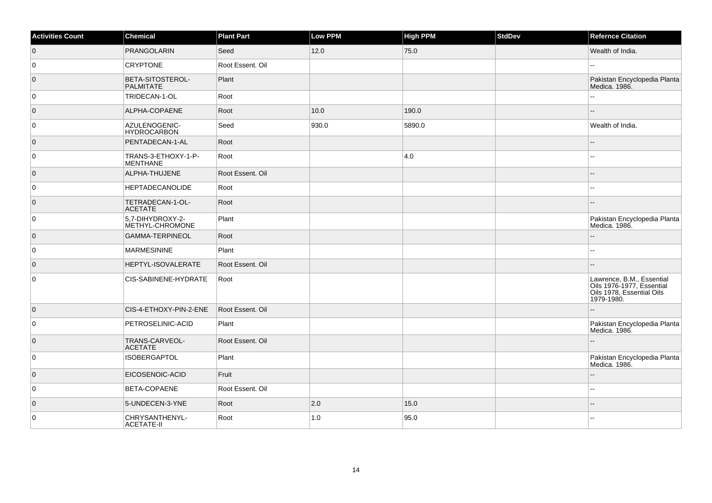| <b>Activities Count</b> | <b>Chemical</b>                        | <b>Plant Part</b> | Low PPM | <b>High PPM</b> | <b>StdDev</b> | <b>Refernce Citation</b>                                                                          |
|-------------------------|----------------------------------------|-------------------|---------|-----------------|---------------|---------------------------------------------------------------------------------------------------|
| $\overline{0}$          | <b>PRANGOLARIN</b>                     | Seed              | 12.0    | 75.0            |               | Wealth of India.                                                                                  |
| 0                       | <b>CRYPTONE</b>                        | Root Essent, Oil  |         |                 |               |                                                                                                   |
| $\overline{0}$          | BETA-SITOSTEROL-<br><b>PALMITATE</b>   | Plant             |         |                 |               | Pakistan Encyclopedia Planta<br>Medica. 1986.                                                     |
| $\overline{0}$          | TRIDECAN-1-OL                          | Root              |         |                 |               |                                                                                                   |
| $\overline{0}$          | ALPHA-COPAENE                          | Root              | 10.0    | 190.0           |               |                                                                                                   |
| 0                       | AZULENOGENIC-<br><b>HYDROCARBON</b>    | Seed              | 930.0   | 5890.0          |               | Wealth of India.                                                                                  |
| $\overline{0}$          | PENTADECAN-1-AL                        | Root              |         |                 |               |                                                                                                   |
| 0                       | TRANS-3-ETHOXY-1-P-<br><b>MENTHANE</b> | Root              |         | 4.0             |               |                                                                                                   |
| $\overline{0}$          | ALPHA-THUJENE                          | Root Essent, Oil  |         |                 |               |                                                                                                   |
| $\overline{0}$          | <b>HEPTADECANOLIDE</b>                 | Root              |         |                 |               |                                                                                                   |
| $\overline{0}$          | TETRADECAN-1-OL-<br><b>ACETATE</b>     | Root              |         |                 |               |                                                                                                   |
| 0                       | 5,7-DIHYDROXY-2-<br>METHYL-CHROMONE    | Plant             |         |                 |               | Pakistan Encyclopedia Planta<br>Medica. 1986.                                                     |
| $\overline{0}$          | <b>GAMMA-TERPINEOL</b>                 | Root              |         |                 |               |                                                                                                   |
| $\overline{0}$          | <b>MARMESININE</b>                     | Plant             |         |                 |               |                                                                                                   |
| $\overline{0}$          | HEPTYL-ISOVALERATE                     | Root Essent, Oil  |         |                 |               |                                                                                                   |
| $\overline{0}$          | CIS-SABINENE-HYDRATE                   | Root              |         |                 |               | Lawrence, B.M., Essential<br>Oils 1976-1977, Essential<br>Oils 1978, Essential Oils<br>1979-1980. |
| $\overline{0}$          | CIS-4-ETHOXY-PIN-2-ENE                 | Root Essent. Oil  |         |                 |               |                                                                                                   |
| 0                       | PETROSELINIC-ACID                      | Plant             |         |                 |               | Pakistan Encyclopedia Planta<br>Medica. 1986.                                                     |
| $\overline{0}$          | TRANS-CARVEOL-<br><b>ACETATE</b>       | Root Essent, Oil  |         |                 |               |                                                                                                   |
| 0                       | <b>ISOBERGAPTOL</b>                    | Plant             |         |                 |               | Pakistan Encyclopedia Planta<br>Medica. 1986.                                                     |
| $\overline{0}$          | EICOSENOIC-ACID                        | Fruit             |         |                 |               |                                                                                                   |
| 0                       | BETA-COPAENE                           | Root Essent. Oil  |         |                 |               |                                                                                                   |
| $\overline{0}$          | 5-UNDECEN-3-YNE                        | Root              | 2.0     | 15.0            |               |                                                                                                   |
| $\overline{0}$          | CHRYSANTHENYL-<br><b>ACETATE-II</b>    | Root              | 1.0     | 95.0            |               |                                                                                                   |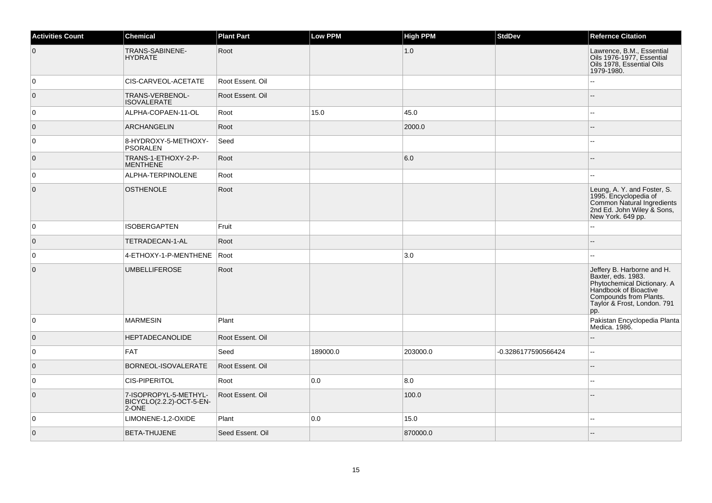| <b>Activities Count</b> | <b>Chemical</b>                                            | <b>Plant Part</b> | Low PPM  | <b>High PPM</b> | <b>StdDev</b>       | <b>Refernce Citation</b>                                                                                                                                                 |
|-------------------------|------------------------------------------------------------|-------------------|----------|-----------------|---------------------|--------------------------------------------------------------------------------------------------------------------------------------------------------------------------|
| $\overline{0}$          | TRANS-SABINENE-<br><b>HYDRATE</b>                          | Root              |          | 1.0             |                     | Lawrence, B.M., Essential<br>Oils 1976-1977, Essential<br>Oils 1978, Essential Oils<br>1979-1980.                                                                        |
| 0                       | CIS-CARVEOL-ACETATE                                        | Root Essent. Oil  |          |                 |                     |                                                                                                                                                                          |
| $\overline{0}$          | TRANS-VERBENOL-<br><b>ISOVALERATE</b>                      | Root Essent, Oil  |          |                 |                     | $-$                                                                                                                                                                      |
| 0                       | ALPHA-COPAEN-11-OL                                         | Root              | 15.0     | 45.0            |                     |                                                                                                                                                                          |
| $\overline{0}$          | <b>ARCHANGELIN</b>                                         | Root              |          | 2000.0          |                     |                                                                                                                                                                          |
| 0                       | 8-HYDROXY-5-METHOXY-<br>PSORALEN                           | Seed              |          |                 |                     |                                                                                                                                                                          |
| $\overline{0}$          | TRANS-1-ETHOXY-2-P-<br><b>MENTHENE</b>                     | Root              |          | 6.0             |                     |                                                                                                                                                                          |
| $\overline{0}$          | ALPHA-TERPINOLENE                                          | Root              |          |                 |                     | $\sim$                                                                                                                                                                   |
| $\overline{0}$          | <b>OSTHENOLE</b>                                           | Root              |          |                 |                     | Leung, A. Y. and Foster, S.<br>1995. Encyclopedia of<br>Common Natural Ingredients<br>2nd Ed. John Wiley & Sons,<br>New York. 649 pp.                                    |
| 0                       | <b>ISOBERGAPTEN</b>                                        | Fruit             |          |                 |                     |                                                                                                                                                                          |
| $\overline{0}$          | TETRADECAN-1-AL                                            | Root              |          |                 |                     |                                                                                                                                                                          |
| 0                       | 4-ETHOXY-1-P-MENTHENE                                      | Root              |          | 3.0             |                     |                                                                                                                                                                          |
| $\overline{0}$          | <b>UMBELLIFEROSE</b>                                       | Root              |          |                 |                     | Jeffery B. Harborne and H.<br>Baxter, eds. 1983.<br>Phytochemical Dictionary. A<br>Handbook of Bioactive<br>Compounds from Plants.<br>Taylor & Frost, London. 791<br>pp. |
| $\overline{0}$          | <b>MARMESIN</b>                                            | Plant             |          |                 |                     | Pakistan Encyclopedia Planta<br>Medica. 1986.                                                                                                                            |
| $\overline{0}$          | <b>HEPTADECANOLIDE</b>                                     | Root Essent, Oil  |          |                 |                     |                                                                                                                                                                          |
| $\overline{0}$          | <b>FAT</b>                                                 | Seed              | 189000.0 | 203000.0        | -0.3286177590566424 | $\overline{\phantom{a}}$                                                                                                                                                 |
| $\overline{0}$          | BORNEOL-ISOVALERATE                                        | Root Essent. Oil  |          |                 |                     |                                                                                                                                                                          |
| $\overline{0}$          | <b>CIS-PIPERITOL</b>                                       | Root              | 0.0      | 8.0             |                     |                                                                                                                                                                          |
| $\overline{0}$          | 7-ISOPROPYL-5-METHYL-<br>BICYCLO(2.2.2)-OCT-5-EN-<br>2-ONE | Root Essent, Oil  |          | 100.0           |                     |                                                                                                                                                                          |
| 0                       | LIMONENE-1,2-OXIDE                                         | Plant             | 0.0      | 15.0            |                     |                                                                                                                                                                          |
| $\overline{0}$          | <b>BETA-THUJENE</b>                                        | Seed Essent. Oil  |          | 870000.0        |                     |                                                                                                                                                                          |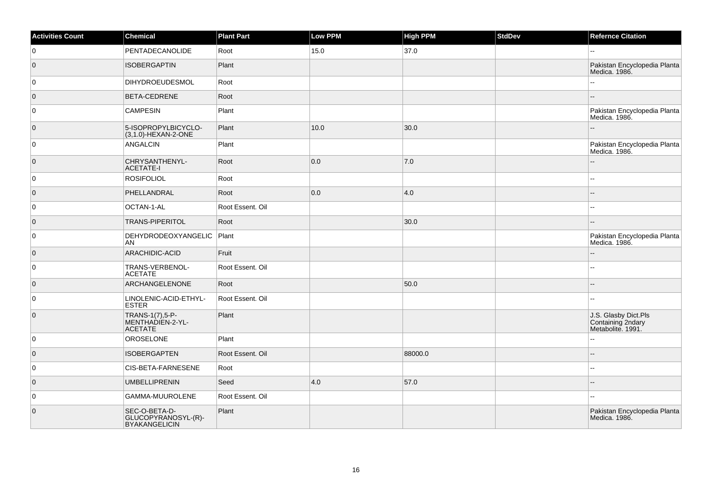| <b>Activities Count</b> | Chemical                                                     | <b>Plant Part</b> | <b>Low PPM</b> | <b>High PPM</b> | StdDev | <b>Refernce Citation</b>                                       |
|-------------------------|--------------------------------------------------------------|-------------------|----------------|-----------------|--------|----------------------------------------------------------------|
| 0                       | <b>PENTADECANOLIDE</b>                                       | Root              | 15.0           | 37.0            |        | $\sim$ $\sim$                                                  |
| $\overline{0}$          | <b>ISOBERGAPTIN</b>                                          | Plant             |                |                 |        | Pakistan Encyclopedia Planta<br>Medica. 1986.                  |
| 0                       | <b>DIHYDROEUDESMOL</b>                                       | Root              |                |                 |        | $\mathbf{u}$                                                   |
| $\overline{0}$          | BETA-CEDRENE                                                 | Root              |                |                 |        |                                                                |
| 0                       | <b>CAMPESIN</b>                                              | Plant             |                |                 |        | Pakistan Encyclopedia Planta<br>Medica. 1986.                  |
| $\overline{0}$          | 5-ISOPROPYLBICYCLO-<br>(3,1.0)-HEXAN-2-ONE                   | Plant             | 10.0           | 30.0            |        |                                                                |
| $\overline{0}$          | ANGALCIN                                                     | Plant             |                |                 |        | Pakistan Encyclopedia Planta<br>Medica. 1986.                  |
| $\overline{0}$          | CHRYSANTHENYL-<br><b>ACETATE-I</b>                           | Root              | 0.0            | 7.0             |        |                                                                |
| 0                       | <b>ROSIFOLIOL</b>                                            | Root              |                |                 |        | ц,                                                             |
| $\overline{0}$          | PHELLANDRAL                                                  | Root              | 0.0            | 4.0             |        |                                                                |
| 0                       | OCTAN-1-AL                                                   | Root Essent. Oil  |                |                 |        | --                                                             |
| $\overline{0}$          | <b>TRANS-PIPERITOL</b>                                       | Root              |                | 30.0            |        |                                                                |
| $\overline{0}$          | DEHYDRODEOXYANGELIC<br>AN                                    | Plant             |                |                 |        | Pakistan Encyclopedia Planta<br>Medica. 1986.                  |
| $\overline{0}$          | ARACHIDIC-ACID                                               | Fruit             |                |                 |        | $\sim$                                                         |
| $\overline{0}$          | TRANS-VERBENOL-<br><b>ACETATE</b>                            | Root Essent. Oil  |                |                 |        | $\sim$ $\sim$                                                  |
| $\overline{0}$          | ARCHANGELENONE                                               | Root              |                | 50.0            |        |                                                                |
| $\overline{0}$          | LINOLENIC-ACID-ETHYL-<br><b>ESTER</b>                        | Root Essent. Oil  |                |                 |        |                                                                |
| $\overline{0}$          | TRANS-1(7),5-P-<br>MENTHADIEN-2-YL-<br><b>ACETATE</b>        | Plant             |                |                 |        | J.S. Glasby Dict.Pls<br>Containing 2ndary<br>Metabolite. 1991. |
| 0                       | OROSELONE                                                    | Plant             |                |                 |        | $\mathbf{u}$                                                   |
| $\overline{0}$          | <b>ISOBERGAPTEN</b>                                          | Root Essent. Oil  |                | 88000.0         |        |                                                                |
| $\overline{0}$          | CIS-BETA-FARNESENE                                           | Root              |                |                 |        | $\overline{\phantom{a}}$                                       |
| $\overline{0}$          | <b>UMBELLIPRENIN</b>                                         | Seed              | 4.0            | 57.0            |        |                                                                |
| $\overline{0}$          | GAMMA-MUUROLENE                                              | Root Essent. Oil  |                |                 |        | $\sim$ $\sim$                                                  |
| $\overline{0}$          | SEC-O-BETA-D-<br>GLUCOPYRANOSYL-(R)-<br><b>BYAKANGELICIN</b> | Plant             |                |                 |        | Pakistan Encyclopedia Planta<br>Medica. 1986.                  |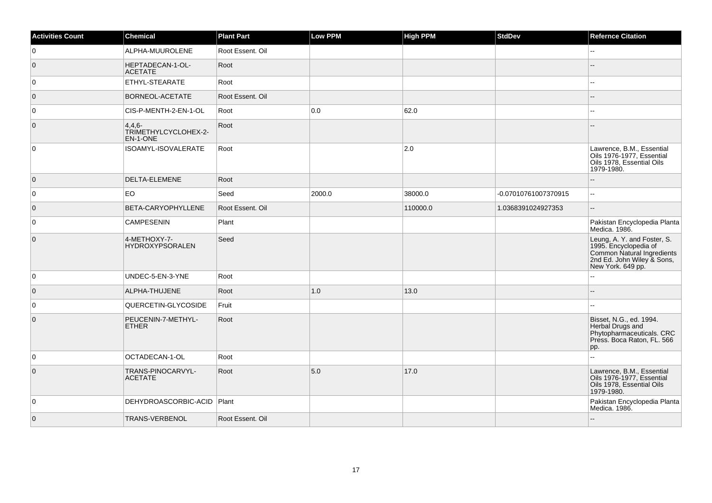| <b>Activities Count</b> | <b>Chemical</b>                              | <b>Plant Part</b> | Low PPM | <b>High PPM</b> | <b>StdDev</b>        | <b>Refernce Citation</b>                                                                                                              |
|-------------------------|----------------------------------------------|-------------------|---------|-----------------|----------------------|---------------------------------------------------------------------------------------------------------------------------------------|
| 0                       | ALPHA-MUUROLENE                              | Root Essent. Oil  |         |                 |                      | $\overline{\phantom{a}}$                                                                                                              |
| $\overline{0}$          | HEPTADECAN-1-OL-<br><b>ACETATE</b>           | Root              |         |                 |                      |                                                                                                                                       |
| $\overline{0}$          | <b>ETHYL-STEARATE</b>                        | Root              |         |                 |                      | $\overline{a}$                                                                                                                        |
| $\overline{0}$          | <b>BORNEOL-ACETATE</b>                       | Root Essent. Oil  |         |                 |                      |                                                                                                                                       |
| 0                       | CIS-P-MENTH-2-EN-1-OL                        | Root              | 0.0     | 62.0            |                      | $-1$                                                                                                                                  |
| $\overline{0}$          | $4,4,6-$<br>TRIMETHYLCYCLOHEX-2-<br>EN-1-ONE | Root              |         |                 |                      |                                                                                                                                       |
| $\overline{0}$          | ISOAMYL-ISOVALERATE                          | Root              |         | 2.0             |                      | Lawrence, B.M., Essential<br>Oils 1976-1977. Essential<br>Oils 1978, Essential Oils<br>1979-1980.                                     |
| $\overline{0}$          | DELTA-ELEMENE                                | Root              |         |                 |                      | $-$                                                                                                                                   |
| $\overline{0}$          | EO                                           | Seed              | 2000.0  | 38000.0         | -0.07010761007370915 | шш.                                                                                                                                   |
| $\overline{0}$          | BETA-CARYOPHYLLENE                           | Root Essent. Oil  |         | 110000.0        | 1.0368391024927353   | $-$                                                                                                                                   |
| $\overline{0}$          | <b>CAMPESENIN</b>                            | Plant             |         |                 |                      | Pakistan Encyclopedia Planta<br>Medica. 1986.                                                                                         |
| $\overline{0}$          | 4-METHOXY-7-<br><b>HYDROXYPSORALEN</b>       | Seed              |         |                 |                      | Leung, A. Y. and Foster, S.<br>1995. Encyclopedia of<br>Common Natural Ingredients<br>2nd Ed. John Wiley & Sons,<br>New York. 649 pp. |
| $\overline{0}$          | UNDEC-5-EN-3-YNE                             | Root              |         |                 |                      | Щ,                                                                                                                                    |
| $\overline{0}$          | ALPHA-THUJENE                                | Root              | 1.0     | 13.0            |                      | --                                                                                                                                    |
| $\overline{0}$          | QUERCETIN-GLYCOSIDE                          | Fruit             |         |                 |                      | --                                                                                                                                    |
| $\overline{0}$          | PEUCENIN-7-METHYL-<br><b>ETHER</b>           | Root              |         |                 |                      | Bisset, N.G., ed. 1994.<br>Herbal Drugs and<br>Phytopharmaceuticals. CRC<br>Press. Boca Raton, FL. 566<br>pp.                         |
| 0                       | OCTADECAN-1-OL                               | Root              |         |                 |                      | Ξ.                                                                                                                                    |
| $\overline{0}$          | TRANS-PINOCARVYL-<br><b>ACETATE</b>          | Root              | 5.0     | 17.0            |                      | Lawrence, B.M., Essential<br>Oils 1976-1977, Essential<br>Oils 1978, Essential Oils<br>1979-1980.                                     |
| $\overline{0}$          | DEHYDROASCORBIC-ACID   Plant                 |                   |         |                 |                      | Pakistan Encyclopedia Planta<br>Medica. 1986.                                                                                         |
| $\overline{0}$          | TRANS-VERBENOL                               | Root Essent. Oil  |         |                 |                      | uu.                                                                                                                                   |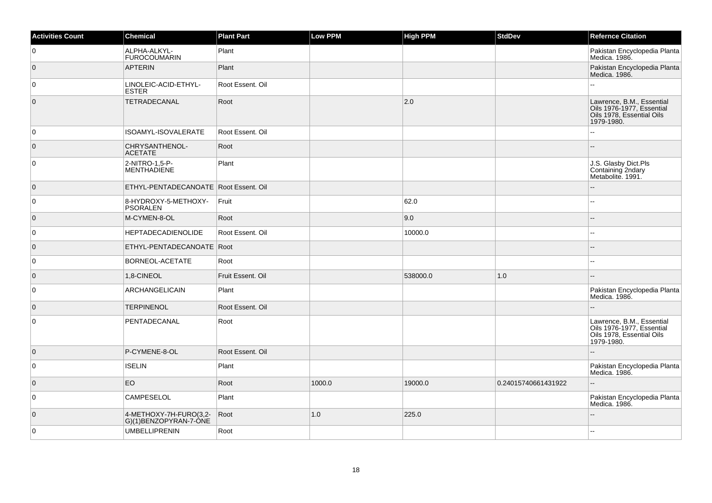| <b>Activities Count</b> | <b>Chemical</b>                                 | <b>Plant Part</b> | Low PPM | <b>High PPM</b> | <b>StdDev</b>       | <b>Refernce Citation</b>                                                                          |
|-------------------------|-------------------------------------------------|-------------------|---------|-----------------|---------------------|---------------------------------------------------------------------------------------------------|
| 0                       | ALPHA-ALKYL-<br>FUROCOUMARIN                    | Plant             |         |                 |                     | Pakistan Encyclopedia Planta<br>Medica. 1986.                                                     |
| $\overline{0}$          | <b>APTERIN</b>                                  | Plant             |         |                 |                     | Pakistan Encyclopedia Planta<br>Medica. 1986.                                                     |
| 0                       | LINOLEIC-ACID-ETHYL-<br><b>ESTER</b>            | Root Essent, Oil  |         |                 |                     | L.                                                                                                |
| $\overline{0}$          | TETRADECANAL                                    | Root              |         | 2.0             |                     | Lawrence, B.M., Essential<br>Oils 1976-1977, Essential<br>Oils 1978, Essential Oils<br>1979-1980. |
| 0                       | ISOAMYL-ISOVALERATE                             | Root Essent. Oil  |         |                 |                     |                                                                                                   |
| $\overline{0}$          | CHRYSANTHENOL-<br><b>ACETATE</b>                | Root              |         |                 |                     |                                                                                                   |
| 0                       | 2-NITRO-1,5-P-<br><b>MENTHADIENE</b>            | Plant             |         |                 |                     | J.S. Glasby Dict.Pls<br>Containing 2ndary<br>Metabolite. 1991.                                    |
| $\overline{0}$          | ETHYL-PENTADECANOATE Root Essent. Oil           |                   |         |                 |                     |                                                                                                   |
| 0                       | 8-HYDROXY-5-METHOXY-<br><b>PSORALEN</b>         | Fruit             |         | 62.0            |                     | --                                                                                                |
| $\overline{0}$          | M-CYMEN-8-OL                                    | Root              |         | 9.0             |                     |                                                                                                   |
| 0                       | <b>HEPTADECADIENOLIDE</b>                       | Root Essent. Oil  |         | 10000.0         |                     | ż.                                                                                                |
| $\overline{0}$          | ETHYL-PENTADECANOATE Root                       |                   |         |                 |                     |                                                                                                   |
| 0                       | BORNEOL-ACETATE                                 | Root              |         |                 |                     | $\overline{a}$                                                                                    |
| $\overline{0}$          | 1,8-CINEOL                                      | Fruit Essent, Oil |         | 538000.0        | 1.0                 |                                                                                                   |
| 0                       | ARCHANGELICAIN                                  | Plant             |         |                 |                     | Pakistan Encyclopedia Planta<br>Medica. 1986.                                                     |
| $\overline{0}$          | <b>TERPINENOL</b>                               | Root Essent. Oil  |         |                 |                     |                                                                                                   |
| 0                       | PENTADECANAL                                    | Root              |         |                 |                     | Lawrence, B.M., Essential<br>Oils 1976-1977, Essential<br>Oils 1978, Essential Oils<br>1979-1980. |
| $\overline{0}$          | P-CYMENE-8-OL                                   | Root Essent. Oil  |         |                 |                     |                                                                                                   |
| 0                       | <b>ISELIN</b>                                   | Plant             |         |                 |                     | Pakistan Encyclopedia Planta<br>Medica. 1986.                                                     |
| $\overline{0}$          | <b>EO</b>                                       | Root              | 1000.0  | 19000.0         | 0.24015740661431922 | ÷.                                                                                                |
| $\mathbf 0$             | <b>CAMPESELOL</b>                               | Plant             |         |                 |                     | Pakistan Encyclopedia Planta<br>Medica. 1986.                                                     |
| $\mathbf 0$             | 4-METHOXY-7H-FURO(3,2-<br>G)(1)BENZOPYRAN-7-ÒNE | Root              | 1.0     | 225.0           |                     |                                                                                                   |
| $\mathbf 0$             | <b>UMBELLIPRENIN</b>                            | Root              |         |                 |                     |                                                                                                   |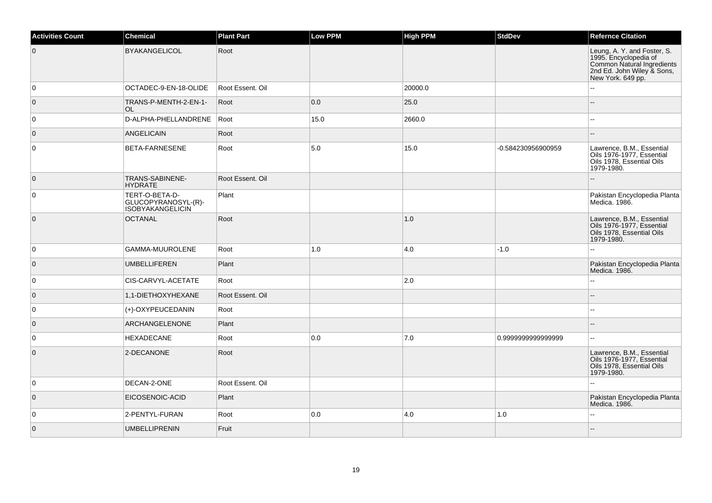| <b>Activities Count</b> | <b>Chemical</b>                                                  | <b>Plant Part</b> | Low PPM | <b>High PPM</b> | <b>StdDev</b>      | <b>Refernce Citation</b>                                                                                                              |
|-------------------------|------------------------------------------------------------------|-------------------|---------|-----------------|--------------------|---------------------------------------------------------------------------------------------------------------------------------------|
| $\overline{0}$          | <b>BYAKANGELICOL</b>                                             | Root              |         |                 |                    | Leung, A. Y. and Foster, S.<br>1995. Encyclopedia of<br>Common Natural Ingredients<br>2nd Ed. John Wiley & Sons,<br>New York. 649 pp. |
| 0                       | OCTADEC-9-EN-18-OLIDE                                            | Root Essent. Oil  |         | 20000.0         |                    |                                                                                                                                       |
| $\overline{0}$          | TRANS-P-MENTH-2-EN-1-<br><b>OL</b>                               | Root              | 0.0     | 25.0            |                    | $-$                                                                                                                                   |
| $\overline{0}$          | D-ALPHA-PHELLANDRENE                                             | Root              | 15.0    | 2660.0          |                    | ۵.                                                                                                                                    |
| $\overline{0}$          | <b>ANGELICAIN</b>                                                | Root              |         |                 |                    | $-$                                                                                                                                   |
| $\overline{0}$          | <b>BETA-FARNESENE</b>                                            | Root              | 5.0     | 15.0            | -0.584230956900959 | Lawrence, B.M., Essential<br>Oils 1976-1977, Essential<br>Oils 1978. Essential Oils<br>1979-1980.                                     |
| $\overline{0}$          | TRANS-SABINENE-<br><b>HYDRATE</b>                                | Root Essent. Oil  |         |                 |                    |                                                                                                                                       |
| $\overline{0}$          | TERT-O-BETA-D-<br>GLUCOPYRANOSYL-(R)-<br><b>ISOBYAKANGELICIN</b> | Plant             |         |                 |                    | Pakistan Encyclopedia Planta<br>Medica. 1986.                                                                                         |
| $\overline{0}$          | <b>OCTANAL</b>                                                   | Root              |         | 1.0             |                    | Lawrence, B.M., Essential<br>Oils 1976-1977, Essential<br>Oils 1978, Essential Oils<br>1979-1980.                                     |
| $\overline{0}$          | GAMMA-MUUROLENE                                                  | Root              | 1.0     | 4.0             | $-1.0$             | L.                                                                                                                                    |
| $\overline{0}$          | <b>UMBELLIFEREN</b>                                              | Plant             |         |                 |                    | Pakistan Encyclopedia Planta<br>Medica. 1986.                                                                                         |
| 0                       | CIS-CARVYL-ACETATE                                               | Root              |         | 2.0             |                    | $\overline{a}$                                                                                                                        |
| $\overline{0}$          | 1,1-DIETHOXYHEXANE                                               | Root Essent, Oil  |         |                 |                    |                                                                                                                                       |
| $\overline{0}$          | (+)-OXYPEUCEDANIN                                                | Root              |         |                 |                    | $-1$                                                                                                                                  |
| $\overline{0}$          | <b>ARCHANGELENONE</b>                                            | Plant             |         |                 |                    | $-$                                                                                                                                   |
| $\overline{0}$          | <b>HEXADECANE</b>                                                | Root              | 0.0     | 7.0             | 0.999999999999999  | $\overline{a}$                                                                                                                        |
| $\overline{0}$          | 2-DECANONE                                                       | Root              |         |                 |                    | Lawrence, B.M., Essential<br>Oils 1976-1977, Essential<br>Oils 1978, Essential Oils<br>1979-1980.                                     |
| 0                       | DECAN-2-ONE                                                      | Root Essent. Oil  |         |                 |                    |                                                                                                                                       |
| $\overline{0}$          | EICOSENOIC-ACID                                                  | Plant             |         |                 |                    | Pakistan Encyclopedia Planta<br>Medica. 1986.                                                                                         |
| $\overline{0}$          | 2-PENTYL-FURAN                                                   | Root              | 0.0     | 4.0             | 1.0                | Ξ.                                                                                                                                    |
| $\overline{0}$          | <b>UMBELLIPRENIN</b>                                             | Fruit             |         |                 |                    | --                                                                                                                                    |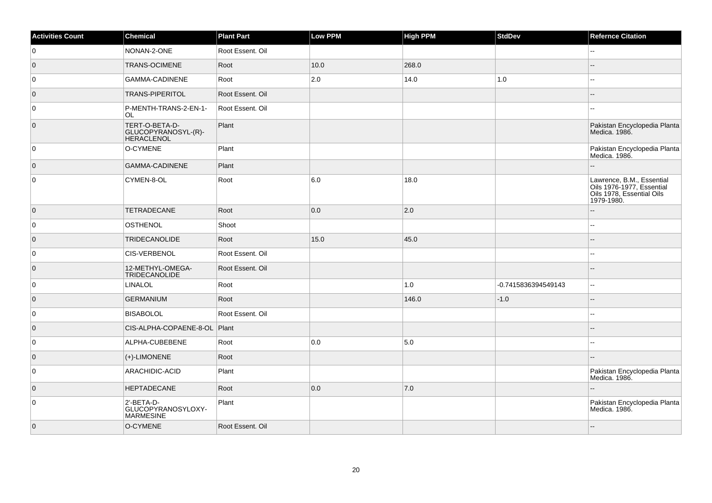| <b>Activities Count</b> | Chemical                                             | <b>Plant Part</b> | <b>Low PPM</b> | <b>High PPM</b> | StdDev              | <b>Refernce Citation</b>                                                                          |
|-------------------------|------------------------------------------------------|-------------------|----------------|-----------------|---------------------|---------------------------------------------------------------------------------------------------|
| 0                       | NONAN-2-ONE                                          | Root Essent. Oil  |                |                 |                     | $-$                                                                                               |
| $\overline{0}$          | <b>TRANS-OCIMENE</b>                                 | Root              | 10.0           | 268.0           |                     |                                                                                                   |
| 0                       | GAMMA-CADINENE                                       | Root              | 2.0            | 14.0            | $1.0$               |                                                                                                   |
| $\overline{0}$          | <b>TRANS-PIPERITOL</b>                               | Root Essent, Oil  |                |                 |                     |                                                                                                   |
| 0                       | P-MENTH-TRANS-2-EN-1-<br>OL                          | Root Essent. Oil  |                |                 |                     |                                                                                                   |
| $\overline{0}$          | TERT-O-BETA-D-<br>GLUCOPYRANOSYL-(R)-<br>HERACLENOL  | Plant             |                |                 |                     | Pakistan Encyclopedia Planta<br>Medica, 1986.                                                     |
| 0                       | O-CYMENE                                             | Plant             |                |                 |                     | Pakistan Encyclopedia Planta<br>Medica. 1986.                                                     |
| $\overline{0}$          | <b>GAMMA-CADINENE</b>                                | Plant             |                |                 |                     |                                                                                                   |
| $\overline{0}$          | CYMEN-8-OL                                           | Root              | 6.0            | 18.0            |                     | Lawrence, B.M., Essential<br>Oils 1976-1977, Essential<br>Oils 1978, Essential Oils<br>1979-1980. |
| $\overline{0}$          | <b>TETRADECANE</b>                                   | Root              | 0.0            | 2.0             |                     |                                                                                                   |
| 0                       | <b>OSTHENOL</b>                                      | Shoot             |                |                 |                     | $\mathbf{u}$                                                                                      |
| $\overline{0}$          | <b>TRIDECANOLIDE</b>                                 | Root              | 15.0           | 45.0            |                     |                                                                                                   |
| $\overline{0}$          | CIS-VERBENOL                                         | Root Essent. Oil  |                |                 |                     | $\overline{\phantom{a}}$                                                                          |
| $\overline{0}$          | 12-METHYL-OMEGA-<br>TRIDECANOLIDE                    | Root Essent. Oil  |                |                 |                     |                                                                                                   |
| $\overline{0}$          | <b>LINALOL</b>                                       | Root              |                | 1.0             | -0.7415836394549143 | $\sim$                                                                                            |
| $\overline{0}$          | <b>GERMANIUM</b>                                     | Root              |                | 146.0           | $-1.0$              |                                                                                                   |
| 0                       | <b>BISABOLOL</b>                                     | Root Essent, Oil  |                |                 |                     | ۵.                                                                                                |
| $\overline{0}$          | CIS-ALPHA-COPAENE-8-OL                               | Plant             |                |                 |                     |                                                                                                   |
| 0                       | ALPHA-CUBEBENE                                       | Root              | 0.0            | 5.0             |                     | $\overline{a}$                                                                                    |
| $\overline{0}$          | $(+)$ -LIMONENE                                      | Root              |                |                 |                     |                                                                                                   |
| 0                       | ARACHIDIC-ACID                                       | Plant             |                |                 |                     | Pakistan Encyclopedia Planta<br>Medica. 1986.                                                     |
| $\overline{0}$          | HEPTADECANE                                          | Root              | 0.0            | 7.0             |                     | --                                                                                                |
| 0                       | 2'-BETA-D-<br>GLUCOPYRANOSYLOXY-<br><b>MARMESINE</b> | Plant             |                |                 |                     | Pakistan Encyclopedia Planta<br>Medica. 1986.                                                     |
| $\overline{0}$          | O-CYMENE                                             | Root Essent, Oil  |                |                 |                     |                                                                                                   |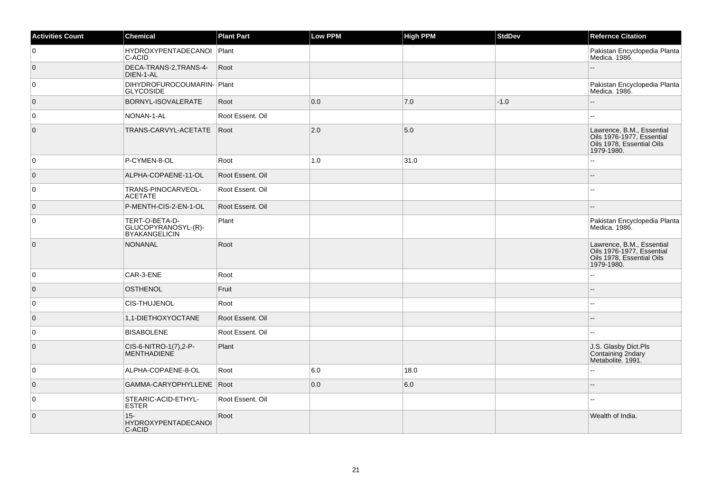| <b>Activities Count</b> | <b>Chemical</b>                                               | <b>Plant Part</b> | Low PPM | <b>High PPM</b> | <b>StdDev</b> | <b>Refernce Citation</b>                                                                          |
|-------------------------|---------------------------------------------------------------|-------------------|---------|-----------------|---------------|---------------------------------------------------------------------------------------------------|
| 0                       | HYDROXYPENTADECANOI Plant<br>C-ACID                           |                   |         |                 |               | Pakistan Encyclopedia Planta<br>Medica. 1986.                                                     |
| $\overline{0}$          | DECA-TRANS-2, TRANS-4-<br>DIEN-1-AL                           | Root              |         |                 |               |                                                                                                   |
| 0                       | DIHYDROFUROCOUMARIN-Plant<br><b>GLYCOSIDE</b>                 |                   |         |                 |               | Pakistan Encyclopedia Planta<br>Medica. 1986.                                                     |
| $\overline{0}$          | BORNYL-ISOVALERATE                                            | Root              | 0.0     | 7.0             | $-1.0$        |                                                                                                   |
| 0                       | NONAN-1-AL                                                    | Root Essent. Oil  |         |                 |               | --                                                                                                |
| $\mathbf{0}$            | TRANS-CARVYL-ACETATE                                          | Root              | 2.0     | 5.0             |               | Lawrence, B.M., Essential<br>Oils 1976-1977, Essential<br>Oils 1978, Essential Oils<br>1979-1980. |
| 0                       | P-CYMEN-8-OL                                                  | Root              | 1.0     | 31.0            |               | L.                                                                                                |
| $\overline{0}$          | ALPHA-COPAENE-11-OL                                           | Root Essent, Oil  |         |                 |               |                                                                                                   |
| 0                       | TRANS-PINOCARVEOL-<br><b>ACETATE</b>                          | Root Essent. Oil  |         |                 |               | 4                                                                                                 |
| $\overline{0}$          | P-MENTH-CIS-2-EN-1-OL                                         | Root Essent. Oil  |         |                 |               |                                                                                                   |
| $\mathbf 0$             | TERT-O-BETA-D-<br>GLUCOPYRANOSYL-(R)-<br><b>BYAKANGELICIN</b> | Plant             |         |                 |               | Pakistan Encyclopedia Planta<br>Medica. 1986.                                                     |
| $\overline{0}$          | <b>NONANAL</b>                                                | Root              |         |                 |               | Lawrence, B.M., Essential<br>Oils 1976-1977, Essential<br>Oils 1978, Essential Oils<br>1979-1980. |
| 0                       | CAR-3-ENE                                                     | Root              |         |                 |               |                                                                                                   |
| $\overline{0}$          | <b>OSTHENOL</b>                                               | Fruit             |         |                 |               | --                                                                                                |
| 0                       | <b>CIS-THUJENOL</b>                                           | Root              |         |                 |               |                                                                                                   |
| $\overline{0}$          | 1,1-DIETHOXYOCTANE                                            | Root Essent, Oil  |         |                 |               |                                                                                                   |
| 0                       | <b>BISABOLENE</b>                                             | Root Essent. Oil  |         |                 |               | ۵۵                                                                                                |
| $\overline{0}$          | CIS-6-NITRO-1(7),2-P-<br>MENTHADIENE                          | Plant             |         |                 |               | J.S. Glasby Dict.Pls<br>Containing 2ndary<br>Metabolite. 1991.                                    |
| 0                       | ALPHA-COPAENE-8-OL                                            | Root              | 6.0     | 18.0            |               |                                                                                                   |
| $\overline{0}$          | GAMMA-CARYOPHYLLENE Root                                      |                   | 0.0     | 6.0             |               |                                                                                                   |
| $\mathbf 0$             | STEARIC-ACID-ETHYL-<br><b>ESTER</b>                           | Root Essent. Oil  |         |                 |               |                                                                                                   |
| $\overline{0}$          | $15 -$<br>HYDROXYPENTADECANOI<br>C-ACID                       | Root              |         |                 |               | Wealth of India.                                                                                  |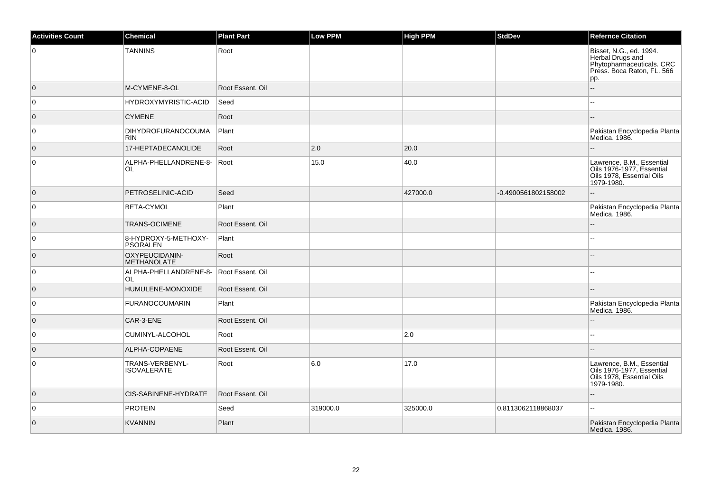| <b>Activities Count</b> | <b>Chemical</b>                         | <b>Plant Part</b> | Low PPM  | <b>High PPM</b> | <b>StdDev</b>       | <b>Refernce Citation</b>                                                                                      |
|-------------------------|-----------------------------------------|-------------------|----------|-----------------|---------------------|---------------------------------------------------------------------------------------------------------------|
| 0                       | <b>TANNINS</b>                          | Root              |          |                 |                     | Bisset, N.G., ed. 1994.<br>Herbal Drugs and<br>Phytopharmaceuticals. CRC<br>Press. Boca Raton, FL. 566<br>pp. |
| $\overline{0}$          | M-CYMENE-8-OL                           | Root Essent, Oil  |          |                 |                     | Ξ.                                                                                                            |
| 0                       | <b>HYDROXYMYRISTIC-ACID</b>             | Seed              |          |                 |                     | шш.                                                                                                           |
| $\overline{0}$          | <b>CYMENE</b>                           | Root              |          |                 |                     |                                                                                                               |
| $\overline{0}$          | <b>DIHYDROFURANOCOUMA</b><br><b>RIN</b> | Plant             |          |                 |                     | Pakistan Encyclopedia Planta<br>Medica. 1986.                                                                 |
| $\overline{0}$          | 17-HEPTADECANOLIDE                      | Root              | 2.0      | 20.0            |                     |                                                                                                               |
| $\overline{0}$          | ALPHA-PHELLANDRENE-8-<br>OL.            | Root              | 15.0     | 40.0            |                     | Lawrence, B.M., Essential<br>Oils 1976-1977, Essential<br>Oils 1978, Essential Oils<br>1979-1980.             |
| $\overline{0}$          | PETROSELINIC-ACID                       | Seed              |          | 427000.0        | -0.4900561802158002 | uu.                                                                                                           |
| 0                       | BETA-CYMOL                              | Plant             |          |                 |                     | Pakistan Encyclopedia Planta<br>Medica. 1986.                                                                 |
| $\overline{0}$          | <b>TRANS-OCIMENE</b>                    | Root Essent, Oil  |          |                 |                     | ÷.                                                                                                            |
| $\overline{0}$          | 8-HYDROXY-5-METHOXY-<br><b>PSORALEN</b> | Plant             |          |                 |                     | Щ,                                                                                                            |
| $\overline{0}$          | OXYPEUCIDANIN-<br><b>METHANOLATE</b>    | Root              |          |                 |                     |                                                                                                               |
| 0                       | ALPHA-PHELLANDRENE-8-<br><b>OL</b>      | Root Essent. Oil  |          |                 |                     |                                                                                                               |
| $\overline{0}$          | HUMULENE-MONOXIDE                       | Root Essent. Oil  |          |                 |                     |                                                                                                               |
| $\overline{0}$          | <b>FURANOCOUMARIN</b>                   | Plant             |          |                 |                     | Pakistan Encyclopedia Planta<br>Medica. 1986.                                                                 |
| $\overline{0}$          | CAR-3-ENE                               | Root Essent, Oil  |          |                 |                     |                                                                                                               |
| $\overline{0}$          | CUMINYL-ALCOHOL                         | Root              |          | 2.0             |                     | ц,                                                                                                            |
| $\overline{0}$          | ALPHA-COPAENE                           | Root Essent. Oil  |          |                 |                     |                                                                                                               |
| 0                       | TRANS-VERBENYL-<br><b>ISOVALERATE</b>   | Root              | 6.0      | 17.0            |                     | Lawrence, B.M., Essential<br>Oils 1976-1977, Essential<br>Oils 1978, Essential Oils<br>1979-1980.             |
| $\overline{0}$          | <b>CIS-SABINENE-HYDRATE</b>             | Root Essent. Oil  |          |                 |                     |                                                                                                               |
| $\overline{0}$          | <b>PROTEIN</b>                          | Seed              | 319000.0 | 325000.0        | 0.8113062118868037  | н.                                                                                                            |
| $\overline{0}$          | <b>KVANNIN</b>                          | Plant             |          |                 |                     | Pakistan Encyclopedia Planta<br>Medica. 1986.                                                                 |